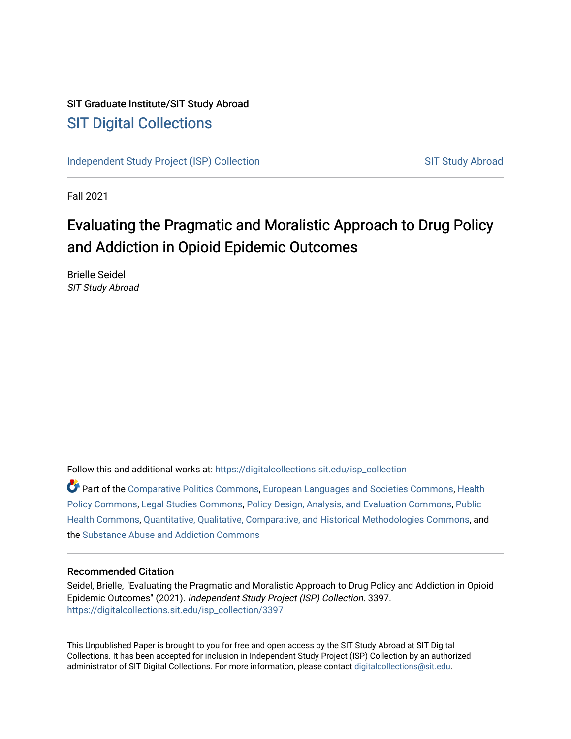# SIT Graduate Institute/SIT Study Abroad [SIT Digital Collections](https://digitalcollections.sit.edu/)

[Independent Study Project \(ISP\) Collection](https://digitalcollections.sit.edu/isp_collection) [SIT Study Abroad](https://digitalcollections.sit.edu/study_abroad) SIT Study Abroad

Fall 2021

# Evaluating the Pragmatic and Moralistic Approach to Drug Policy and Addiction in Opioid Epidemic Outcomes

Brielle Seidel SIT Study Abroad

Follow this and additional works at: [https://digitalcollections.sit.edu/isp\\_collection](https://digitalcollections.sit.edu/isp_collection?utm_source=digitalcollections.sit.edu%2Fisp_collection%2F3397&utm_medium=PDF&utm_campaign=PDFCoverPages) 

Part of the [Comparative Politics Commons,](http://network.bepress.com/hgg/discipline/388?utm_source=digitalcollections.sit.edu%2Fisp_collection%2F3397&utm_medium=PDF&utm_campaign=PDFCoverPages) [European Languages and Societies Commons](http://network.bepress.com/hgg/discipline/482?utm_source=digitalcollections.sit.edu%2Fisp_collection%2F3397&utm_medium=PDF&utm_campaign=PDFCoverPages), [Health](http://network.bepress.com/hgg/discipline/395?utm_source=digitalcollections.sit.edu%2Fisp_collection%2F3397&utm_medium=PDF&utm_campaign=PDFCoverPages)  [Policy Commons](http://network.bepress.com/hgg/discipline/395?utm_source=digitalcollections.sit.edu%2Fisp_collection%2F3397&utm_medium=PDF&utm_campaign=PDFCoverPages), [Legal Studies Commons](http://network.bepress.com/hgg/discipline/366?utm_source=digitalcollections.sit.edu%2Fisp_collection%2F3397&utm_medium=PDF&utm_campaign=PDFCoverPages), [Policy Design, Analysis, and Evaluation Commons](http://network.bepress.com/hgg/discipline/1032?utm_source=digitalcollections.sit.edu%2Fisp_collection%2F3397&utm_medium=PDF&utm_campaign=PDFCoverPages), [Public](http://network.bepress.com/hgg/discipline/738?utm_source=digitalcollections.sit.edu%2Fisp_collection%2F3397&utm_medium=PDF&utm_campaign=PDFCoverPages) [Health Commons,](http://network.bepress.com/hgg/discipline/738?utm_source=digitalcollections.sit.edu%2Fisp_collection%2F3397&utm_medium=PDF&utm_campaign=PDFCoverPages) [Quantitative, Qualitative, Comparative, and Historical Methodologies Commons,](http://network.bepress.com/hgg/discipline/423?utm_source=digitalcollections.sit.edu%2Fisp_collection%2F3397&utm_medium=PDF&utm_campaign=PDFCoverPages) and the [Substance Abuse and Addiction Commons](http://network.bepress.com/hgg/discipline/710?utm_source=digitalcollections.sit.edu%2Fisp_collection%2F3397&utm_medium=PDF&utm_campaign=PDFCoverPages) 

#### Recommended Citation

Seidel, Brielle, "Evaluating the Pragmatic and Moralistic Approach to Drug Policy and Addiction in Opioid Epidemic Outcomes" (2021). Independent Study Project (ISP) Collection. 3397. [https://digitalcollections.sit.edu/isp\\_collection/3397](https://digitalcollections.sit.edu/isp_collection/3397?utm_source=digitalcollections.sit.edu%2Fisp_collection%2F3397&utm_medium=PDF&utm_campaign=PDFCoverPages) 

This Unpublished Paper is brought to you for free and open access by the SIT Study Abroad at SIT Digital Collections. It has been accepted for inclusion in Independent Study Project (ISP) Collection by an authorized administrator of SIT Digital Collections. For more information, please contact [digitalcollections@sit.edu](mailto:digitalcollections@sit.edu).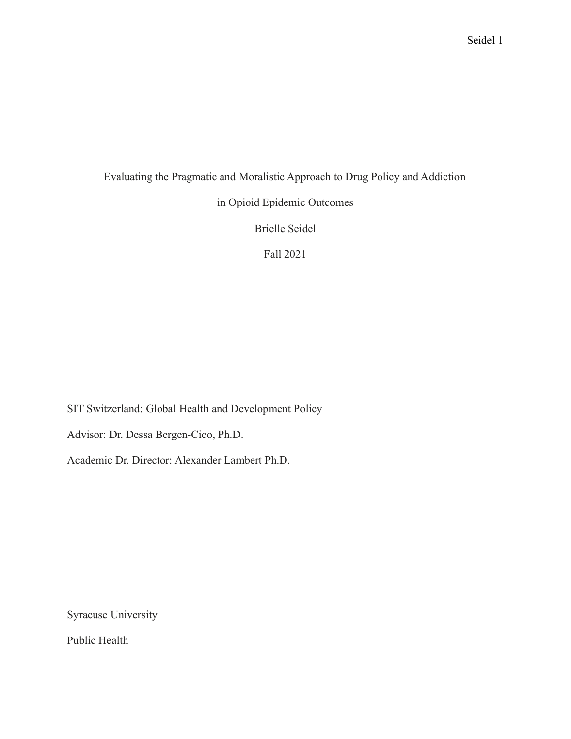# Evaluating the Pragmatic and Moralistic Approach to Drug Policy and Addiction

in Opioid Epidemic Outcomes

Brielle Seidel

Fall 2021

SIT Switzerland: Global Health and Development Policy

Advisor: Dr. Dessa Bergen-Cico, Ph.D.

Academic Dr. Director: Alexander Lambert Ph.D.

Syracuse University

Public Health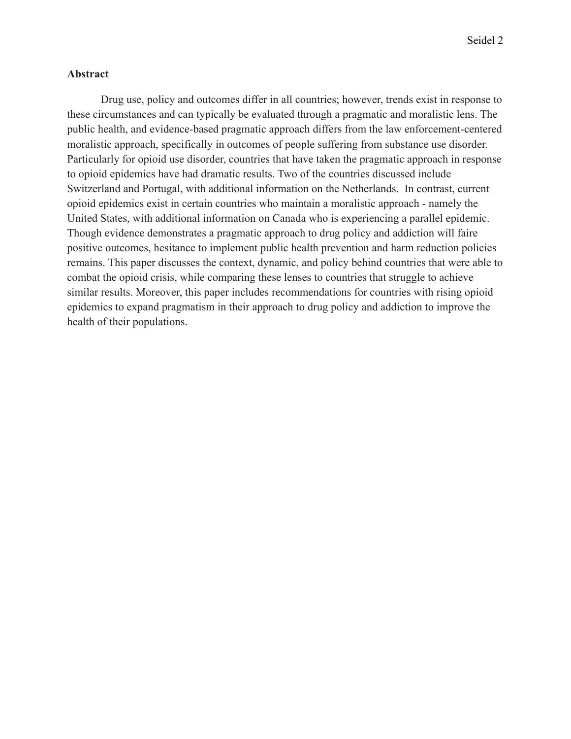# **Abstract**

Drug use, policy and outcomes differ in all countries; however, trends exist in response to these circumstances and can typically be evaluated through a pragmatic and moralistic lens. The public health, and evidence-based pragmatic approach differs from the law enforcement-centered moralistic approach, specifically in outcomes of people suffering from substance use disorder. Particularly for opioid use disorder, countries that have taken the pragmatic approach in response to opioid epidemics have had dramatic results. Two of the countries discussed include Switzerland and Portugal, with additional information on the Netherlands. In contrast, current opioid epidemics exist in certain countries who maintain a moralistic approach - namely the United States, with additional information on Canada who is experiencing a parallel epidemic. Though evidence demonstrates a pragmatic approach to drug policy and addiction will faire positive outcomes, hesitance to implement public health prevention and harm reduction policies remains. This paper discusses the context, dynamic, and policy behind countries that were able to combat the opioid crisis, while comparing these lenses to countries that struggle to achieve similar results. Moreover, this paper includes recommendations for countries with rising opioid epidemics to expand pragmatism in their approach to drug policy and addiction to improve the health of their populations.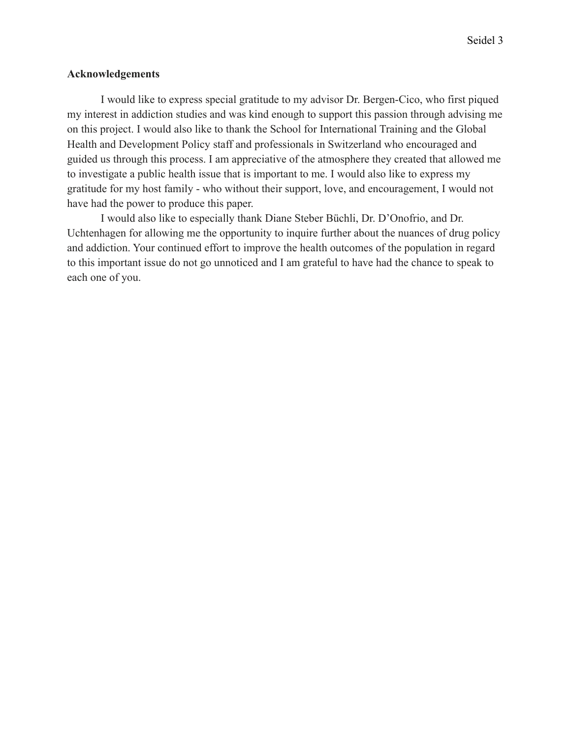# **Acknowledgements**

I would like to express special gratitude to my advisor Dr. Bergen-Cico, who first piqued my interest in addiction studies and was kind enough to support this passion through advising me on this project. I would also like to thank the School for International Training and the Global Health and Development Policy staff and professionals in Switzerland who encouraged and guided us through this process. I am appreciative of the atmosphere they created that allowed me to investigate a public health issue that is important to me. I would also like to express my gratitude for my host family - who without their support, love, and encouragement, I would not have had the power to produce this paper.

I would also like to especially thank Diane Steber Büchli, Dr. D'Onofrio, and Dr. Uchtenhagen for allowing me the opportunity to inquire further about the nuances of drug policy and addiction. Your continued effort to improve the health outcomes of the population in regard to this important issue do not go unnoticed and I am grateful to have had the chance to speak to each one of you.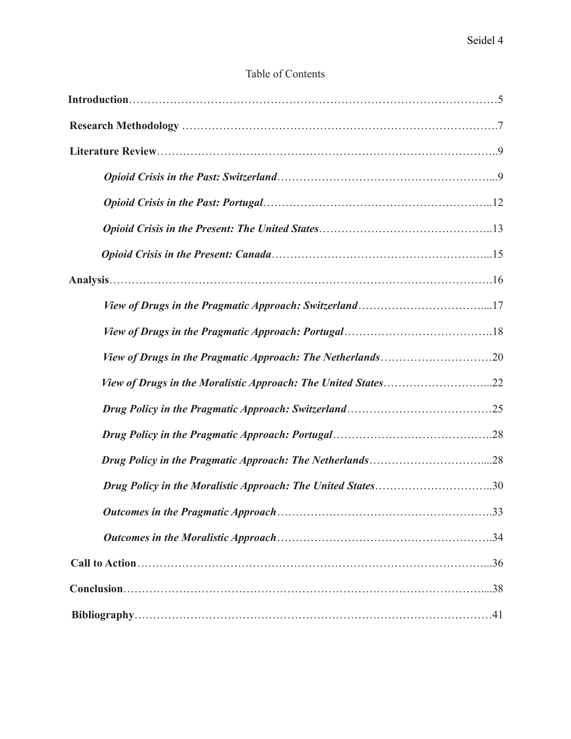| Table of Contents |
|-------------------|
|-------------------|

| Drug Policy in the Moralistic Approach: The United States30 |  |
|-------------------------------------------------------------|--|
|                                                             |  |
|                                                             |  |
|                                                             |  |
|                                                             |  |
|                                                             |  |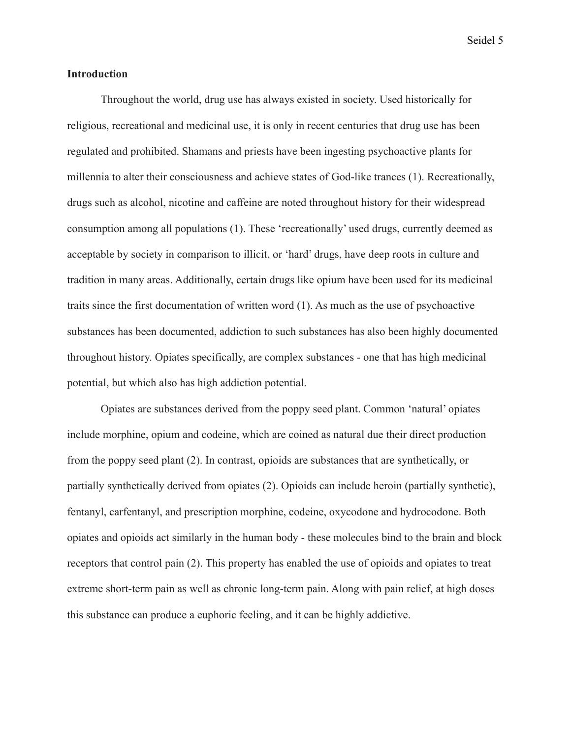### **Introduction**

Throughout the world, drug use has always existed in society. Used historically for religious, recreational and medicinal use, it is only in recent centuries that drug use has been regulated and prohibited. Shamans and priests have been ingesting psychoactive plants for millennia to alter their consciousness and achieve states of God-like trances (1). Recreationally, drugs such as alcohol, nicotine and caffeine are noted throughout history for their widespread consumption among all populations (1). These 'recreationally' used drugs, currently deemed as acceptable by society in comparison to illicit, or 'hard' drugs, have deep roots in culture and tradition in many areas. Additionally, certain drugs like opium have been used for its medicinal traits since the first documentation of written word (1). As much as the use of psychoactive substances has been documented, addiction to such substances has also been highly documented throughout history. Opiates specifically, are complex substances - one that has high medicinal potential, but which also has high addiction potential.

Opiates are substances derived from the poppy seed plant. Common 'natural' opiates include morphine, opium and codeine, which are coined as natural due their direct production from the poppy seed plant (2). In contrast, opioids are substances that are synthetically, or partially synthetically derived from opiates (2). Opioids can include heroin (partially synthetic), fentanyl, carfentanyl, and prescription morphine, codeine, oxycodone and hydrocodone. Both opiates and opioids act similarly in the human body - these molecules bind to the brain and block receptors that control pain (2). This property has enabled the use of opioids and opiates to treat extreme short-term pain as well as chronic long-term pain. Along with pain relief, at high doses this substance can produce a euphoric feeling, and it can be highly addictive.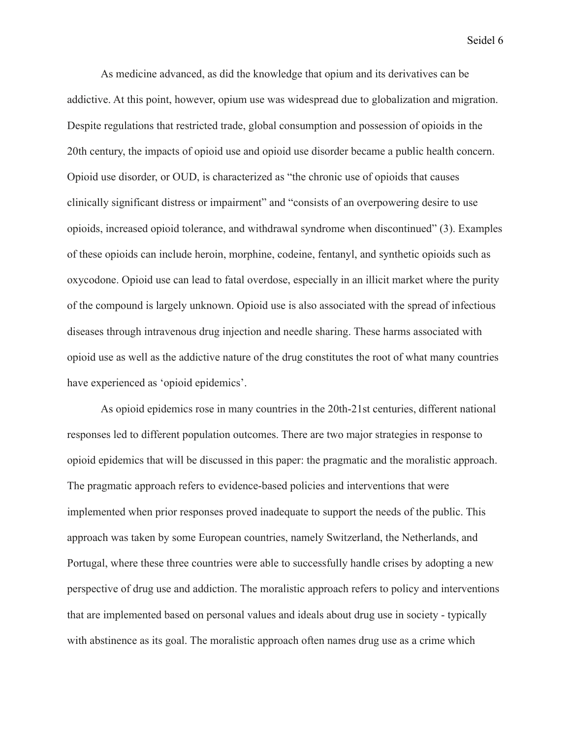As medicine advanced, as did the knowledge that opium and its derivatives can be addictive. At this point, however, opium use was widespread due to globalization and migration. Despite regulations that restricted trade, global consumption and possession of opioids in the 20th century, the impacts of opioid use and opioid use disorder became a public health concern. Opioid use disorder, or OUD, is characterized as "the chronic use of opioids that causes clinically significant distress or impairment" and "consists of an overpowering desire to use opioids, increased opioid tolerance, and withdrawal syndrome when discontinued" (3). Examples of these opioids can include heroin, morphine, codeine, fentanyl, and synthetic opioids such as oxycodone. Opioid use can lead to fatal overdose, especially in an illicit market where the purity of the compound is largely unknown. Opioid use is also associated with the spread of infectious diseases through intravenous drug injection and needle sharing. These harms associated with opioid use as well as the addictive nature of the drug constitutes the root of what many countries have experienced as 'opioid epidemics'.

As opioid epidemics rose in many countries in the 20th-21st centuries, different national responses led to different population outcomes. There are two major strategies in response to opioid epidemics that will be discussed in this paper: the pragmatic and the moralistic approach. The pragmatic approach refers to evidence-based policies and interventions that were implemented when prior responses proved inadequate to support the needs of the public. This approach was taken by some European countries, namely Switzerland, the Netherlands, and Portugal, where these three countries were able to successfully handle crises by adopting a new perspective of drug use and addiction. The moralistic approach refers to policy and interventions that are implemented based on personal values and ideals about drug use in society - typically with abstinence as its goal. The moralistic approach often names drug use as a crime which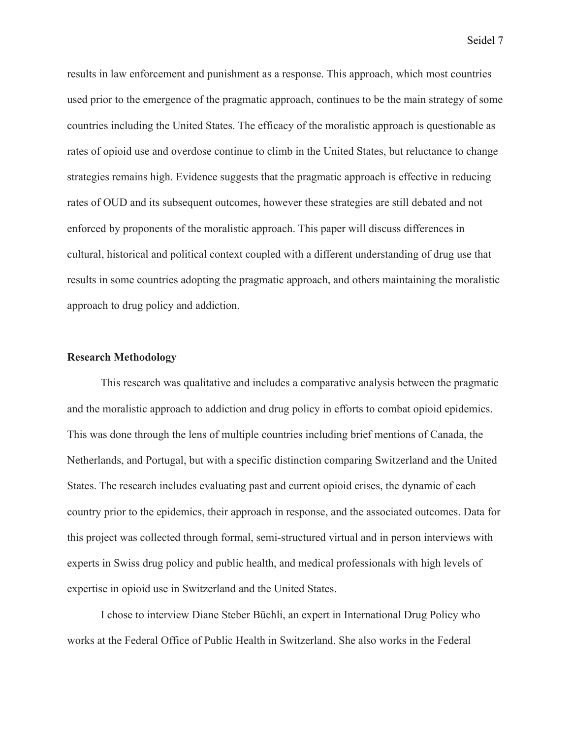results in law enforcement and punishment as a response. This approach, which most countries used prior to the emergence of the pragmatic approach, continues to be the main strategy of some countries including the United States. The efficacy of the moralistic approach is questionable as rates of opioid use and overdose continue to climb in the United States, but reluctance to change strategies remains high. Evidence suggests that the pragmatic approach is effective in reducing rates of OUD and its subsequent outcomes, however these strategies are still debated and not enforced by proponents of the moralistic approach. This paper will discuss differences in cultural, historical and political context coupled with a different understanding of drug use that results in some countries adopting the pragmatic approach, and others maintaining the moralistic approach to drug policy and addiction.

# **Research Methodology**

This research was qualitative and includes a comparative analysis between the pragmatic and the moralistic approach to addiction and drug policy in efforts to combat opioid epidemics. This was done through the lens of multiple countries including brief mentions of Canada, the Netherlands, and Portugal, but with a specific distinction comparing Switzerland and the United States. The research includes evaluating past and current opioid crises, the dynamic of each country prior to the epidemics, their approach in response, and the associated outcomes. Data for this project was collected through formal, semi-structured virtual and in person interviews with experts in Swiss drug policy and public health, and medical professionals with high levels of expertise in opioid use in Switzerland and the United States.

I chose to interview Diane Steber Büchli, an expert in International Drug Policy who works at the Federal Office of Public Health in Switzerland. She also works in the Federal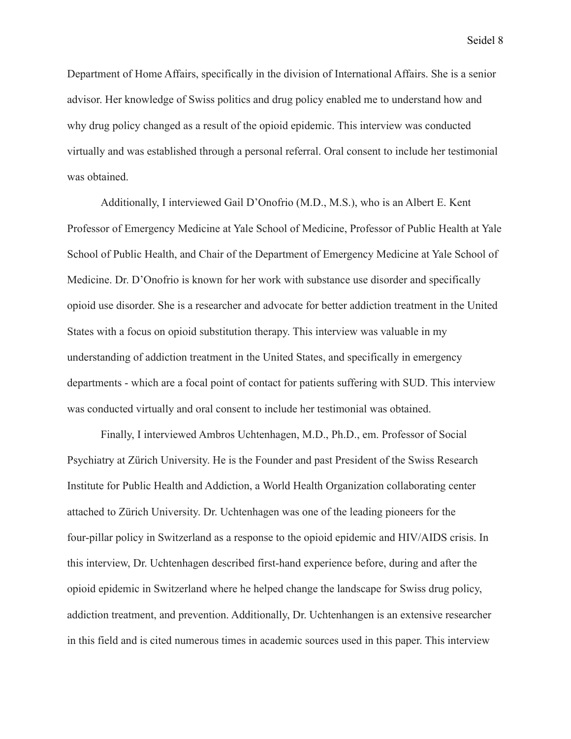Department of Home Affairs, specifically in the division of International Affairs. She is a senior advisor. Her knowledge of Swiss politics and drug policy enabled me to understand how and why drug policy changed as a result of the opioid epidemic. This interview was conducted virtually and was established through a personal referral. Oral consent to include her testimonial was obtained.

Additionally, I interviewed Gail D'Onofrio (M.D., M.S.), who is an Albert E. Kent Professor of Emergency Medicine at Yale School of Medicine, Professor of Public Health at Yale School of Public Health, and Chair of the Department of Emergency Medicine at Yale School of Medicine. Dr. D'Onofrio is known for her work with substance use disorder and specifically opioid use disorder. She is a researcher and advocate for better addiction treatment in the United States with a focus on opioid substitution therapy. This interview was valuable in my understanding of addiction treatment in the United States, and specifically in emergency departments - which are a focal point of contact for patients suffering with SUD. This interview was conducted virtually and oral consent to include her testimonial was obtained.

Finally, I interviewed Ambros Uchtenhagen, M.D., Ph.D., em. Professor of Social Psychiatry at Zürich University. He is the Founder and past President of the Swiss Research Institute for Public Health and Addiction, a World Health Organization collaborating center attached to Zürich University. Dr. Uchtenhagen was one of the leading pioneers for the four-pillar policy in Switzerland as a response to the opioid epidemic and HIV/AIDS crisis. In this interview, Dr. Uchtenhagen described first-hand experience before, during and after the opioid epidemic in Switzerland where he helped change the landscape for Swiss drug policy, addiction treatment, and prevention. Additionally, Dr. Uchtenhangen is an extensive researcher in this field and is cited numerous times in academic sources used in this paper. This interview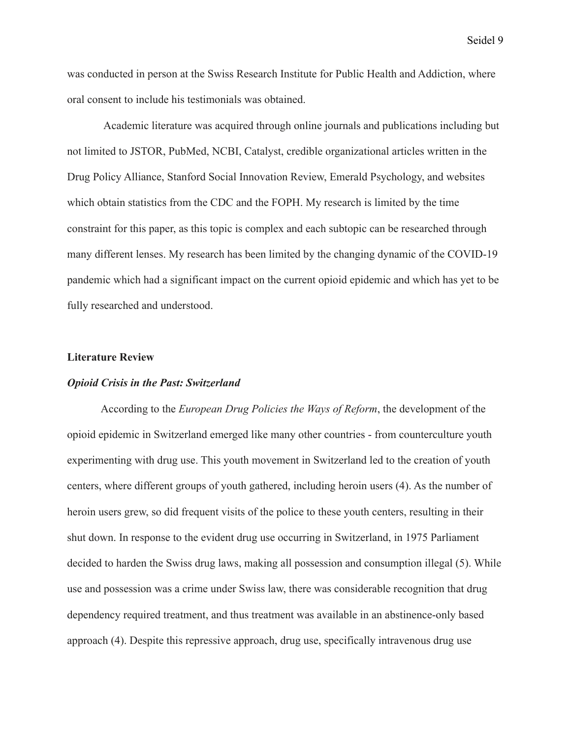was conducted in person at the Swiss Research Institute for Public Health and Addiction, where oral consent to include his testimonials was obtained.

Academic literature was acquired through online journals and publications including but not limited to JSTOR, PubMed, NCBI, Catalyst, credible organizational articles written in the Drug Policy Alliance, Stanford Social Innovation Review, Emerald Psychology, and websites which obtain statistics from the CDC and the FOPH. My research is limited by the time constraint for this paper, as this topic is complex and each subtopic can be researched through many different lenses. My research has been limited by the changing dynamic of the COVID-19 pandemic which had a significant impact on the current opioid epidemic and which has yet to be fully researched and understood.

#### **Literature Review**

#### *Opioid Crisis in the Past: Switzerland*

According to the *European Drug Policies the Ways of Reform*, the development of the opioid epidemic in Switzerland emerged like many other countries - from counterculture youth experimenting with drug use. This youth movement in Switzerland led to the creation of youth centers, where different groups of youth gathered, including heroin users (4). As the number of heroin users grew, so did frequent visits of the police to these youth centers, resulting in their shut down. In response to the evident drug use occurring in Switzerland, in 1975 Parliament decided to harden the Swiss drug laws, making all possession and consumption illegal (5). While use and possession was a crime under Swiss law, there was considerable recognition that drug dependency required treatment, and thus treatment was available in an abstinence-only based approach (4). Despite this repressive approach, drug use, specifically intravenous drug use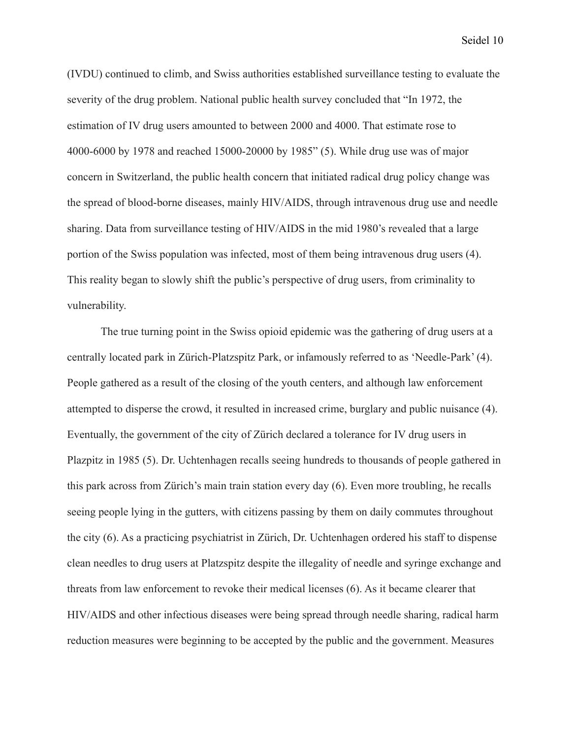(IVDU) continued to climb, and Swiss authorities established surveillance testing to evaluate the severity of the drug problem. National public health survey concluded that "In 1972, the estimation of IV drug users amounted to between 2000 and 4000. That estimate rose to 4000-6000 by 1978 and reached 15000-20000 by 1985" (5). While drug use was of major concern in Switzerland, the public health concern that initiated radical drug policy change was the spread of blood-borne diseases, mainly HIV/AIDS, through intravenous drug use and needle sharing. Data from surveillance testing of HIV/AIDS in the mid 1980's revealed that a large portion of the Swiss population was infected, most of them being intravenous drug users (4). This reality began to slowly shift the public's perspective of drug users, from criminality to vulnerability.

The true turning point in the Swiss opioid epidemic was the gathering of drug users at a centrally located park in Zürich-Platzspitz Park, or infamously referred to as 'Needle-Park' (4). People gathered as a result of the closing of the youth centers, and although law enforcement attempted to disperse the crowd, it resulted in increased crime, burglary and public nuisance (4). Eventually, the government of the city of Zürich declared a tolerance for IV drug users in Plazpitz in 1985 (5). Dr. Uchtenhagen recalls seeing hundreds to thousands of people gathered in this park across from Zürich's main train station every day (6). Even more troubling, he recalls seeing people lying in the gutters, with citizens passing by them on daily commutes throughout the city (6). As a practicing psychiatrist in Zürich, Dr. Uchtenhagen ordered his staff to dispense clean needles to drug users at Platzspitz despite the illegality of needle and syringe exchange and threats from law enforcement to revoke their medical licenses (6). As it became clearer that HIV/AIDS and other infectious diseases were being spread through needle sharing, radical harm reduction measures were beginning to be accepted by the public and the government. Measures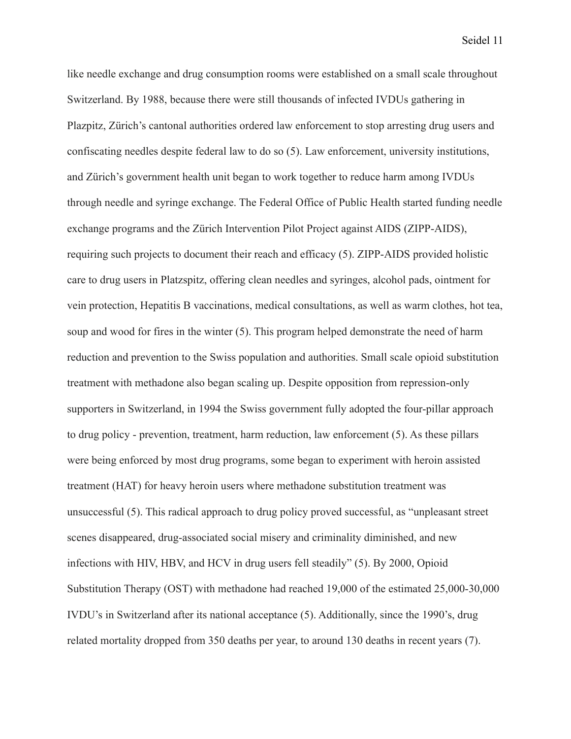like needle exchange and drug consumption rooms were established on a small scale throughout Switzerland. By 1988, because there were still thousands of infected IVDUs gathering in Plazpitz, Zürich's cantonal authorities ordered law enforcement to stop arresting drug users and confiscating needles despite federal law to do so (5). Law enforcement, university institutions, and Zürich's government health unit began to work together to reduce harm among IVDUs through needle and syringe exchange. The Federal Office of Public Health started funding needle exchange programs and the Zürich Intervention Pilot Project against AIDS (ZIPP-AIDS), requiring such projects to document their reach and efficacy (5). ZIPP-AIDS provided holistic care to drug users in Platzspitz, offering clean needles and syringes, alcohol pads, ointment for vein protection, Hepatitis B vaccinations, medical consultations, as well as warm clothes, hot tea, soup and wood for fires in the winter (5). This program helped demonstrate the need of harm reduction and prevention to the Swiss population and authorities. Small scale opioid substitution treatment with methadone also began scaling up. Despite opposition from repression-only supporters in Switzerland, in 1994 the Swiss government fully adopted the four-pillar approach to drug policy - prevention, treatment, harm reduction, law enforcement (5). As these pillars were being enforced by most drug programs, some began to experiment with heroin assisted treatment (HAT) for heavy heroin users where methadone substitution treatment was unsuccessful (5). This radical approach to drug policy proved successful, as "unpleasant street scenes disappeared, drug-associated social misery and criminality diminished, and new infections with HIV, HBV, and HCV in drug users fell steadily" (5). By 2000, Opioid Substitution Therapy (OST) with methadone had reached 19,000 of the estimated 25,000-30,000 IVDU's in Switzerland after its national acceptance (5). Additionally, since the 1990's, drug related mortality dropped from 350 deaths per year, to around 130 deaths in recent years (7).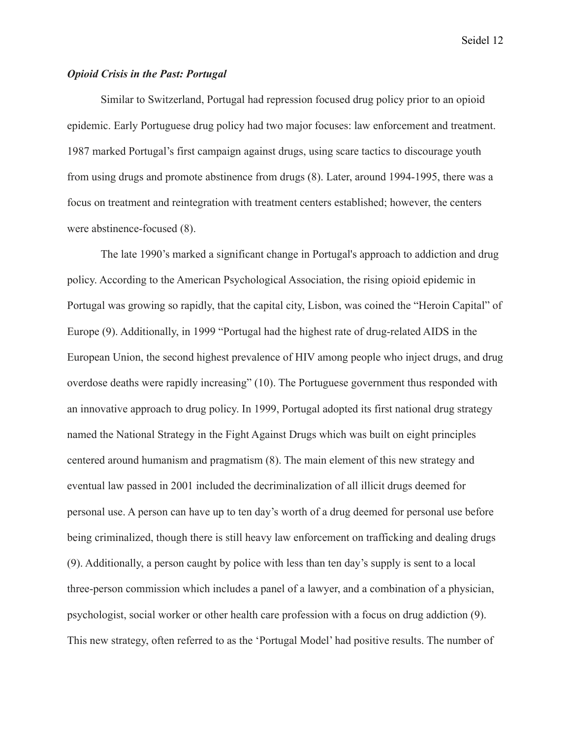# *Opioid Crisis in the Past: Portugal*

Similar to Switzerland, Portugal had repression focused drug policy prior to an opioid epidemic. Early Portuguese drug policy had two major focuses: law enforcement and treatment. 1987 marked Portugal's first campaign against drugs, using scare tactics to discourage youth from using drugs and promote abstinence from drugs (8). Later, around 1994-1995, there was a focus on treatment and reintegration with treatment centers established; however, the centers were abstinence-focused (8).

The late 1990's marked a significant change in Portugal's approach to addiction and drug policy. According to the American Psychological Association, the rising opioid epidemic in Portugal was growing so rapidly, that the capital city, Lisbon, was coined the "Heroin Capital" of Europe (9). Additionally, in 1999 "Portugal had the highest rate of drug-related AIDS in the European Union, the second highest prevalence of HIV among people who inject drugs, and drug overdose deaths were rapidly increasing" (10). The Portuguese government thus responded with an innovative approach to drug policy. In 1999, Portugal adopted its first national drug strategy named the National Strategy in the Fight Against Drugs which was built on eight principles centered around humanism and pragmatism (8). The main element of this new strategy and eventual law passed in 2001 included the decriminalization of all illicit drugs deemed for personal use. A person can have up to ten day's worth of a drug deemed for personal use before being criminalized, though there is still heavy law enforcement on trafficking and dealing drugs (9). Additionally, a person caught by police with less than ten day's supply is sent to a local three-person commission which includes a panel of a lawyer, and a combination of a physician, psychologist, social worker or other health care profession with a focus on drug addiction (9). This new strategy, often referred to as the 'Portugal Model' had positive results. The number of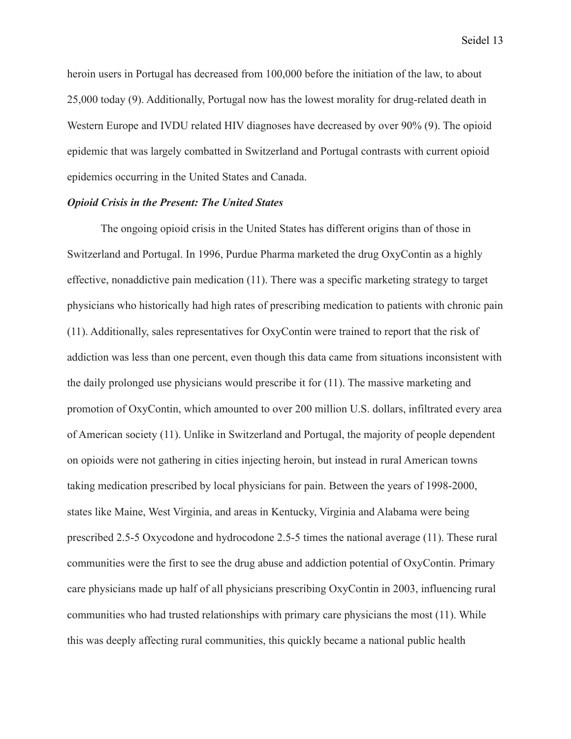heroin users in Portugal has decreased from 100,000 before the initiation of the law, to about 25,000 today (9). Additionally, Portugal now has the lowest morality for drug-related death in Western Europe and IVDU related HIV diagnoses have decreased by over 90% (9). The opioid epidemic that was largely combatted in Switzerland and Portugal contrasts with current opioid epidemics occurring in the United States and Canada.

#### *Opioid Crisis in the Present: The United States*

The ongoing opioid crisis in the United States has different origins than of those in Switzerland and Portugal. In 1996, Purdue Pharma marketed the drug OxyContin as a highly effective, nonaddictive pain medication (11). There was a specific marketing strategy to target physicians who historically had high rates of prescribing medication to patients with chronic pain (11). Additionally, sales representatives for OxyContin were trained to report that the risk of addiction was less than one percent, even though this data came from situations inconsistent with the daily prolonged use physicians would prescribe it for (11). The massive marketing and promotion of OxyContin, which amounted to over 200 million U.S. dollars, infiltrated every area of American society (11). Unlike in Switzerland and Portugal, the majority of people dependent on opioids were not gathering in cities injecting heroin, but instead in rural American towns taking medication prescribed by local physicians for pain. Between the years of 1998-2000, states like Maine, West Virginia, and areas in Kentucky, Virginia and Alabama were being prescribed 2.5-5 Oxycodone and hydrocodone 2.5-5 times the national average (11). These rural communities were the first to see the drug abuse and addiction potential of OxyContin. Primary care physicians made up half of all physicians prescribing OxyContin in 2003, influencing rural communities who had trusted relationships with primary care physicians the most (11). While this was deeply affecting rural communities, this quickly became a national public health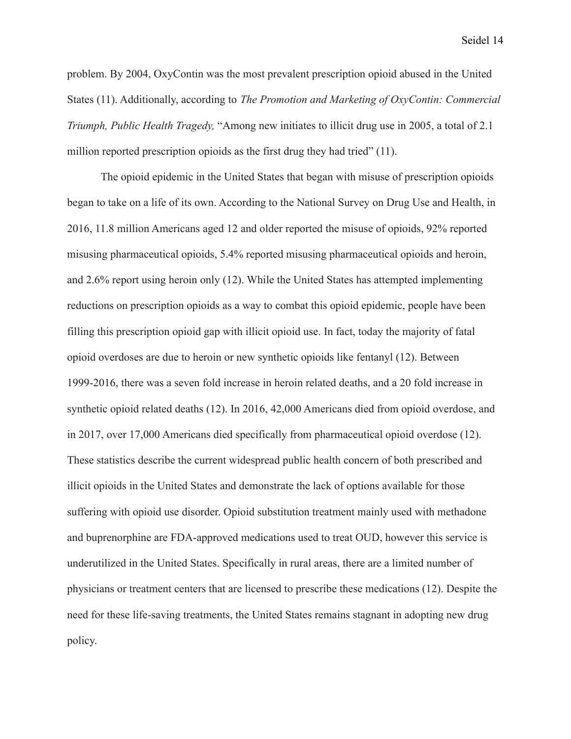problem. By 2004, OxyContin was the most prevalent prescription opioid abused in the United States (11). Additionally, according to *The Promotion and Marketing of OxyContin: Commercial Triumph, Public Health Tragedy,* "Among new initiates to illicit drug use in 2005, a total of 2.1 million reported prescription opioids as the first drug they had tried" (11).

The opioid epidemic in the United States that began with misuse of prescription opioids began to take on a life of its own. According to the National Survey on Drug Use and Health, in 2016, 11.8 million Americans aged 12 and older reported the misuse of opioids, 92% reported misusing pharmaceutical opioids, 5.4% reported misusing pharmaceutical opioids and heroin, and 2.6% report using heroin only (12). While the United States has attempted implementing reductions on prescription opioids as a way to combat this opioid epidemic, people have been filling this prescription opioid gap with illicit opioid use. In fact, today the majority of fatal opioid overdoses are due to heroin or new synthetic opioids like fentanyl (12). Between 1999-2016, there was a seven fold increase in heroin related deaths, and a 20 fold increase in synthetic opioid related deaths (12). In 2016, 42,000 Americans died from opioid overdose, and in 2017, over 17,000 Americans died specifically from pharmaceutical opioid overdose (12). These statistics describe the current widespread public health concern of both prescribed and illicit opioids in the United States and demonstrate the lack of options available for those suffering with opioid use disorder. Opioid substitution treatment mainly used with methadone and buprenorphine are FDA-approved medications used to treat OUD, however this service is underutilized in the United States. Specifically in rural areas, there are a limited number of physicians or treatment centers that are licensed to prescribe these medications (12). Despite the need for these life-saving treatments, the United States remains stagnant in adopting new drug policy.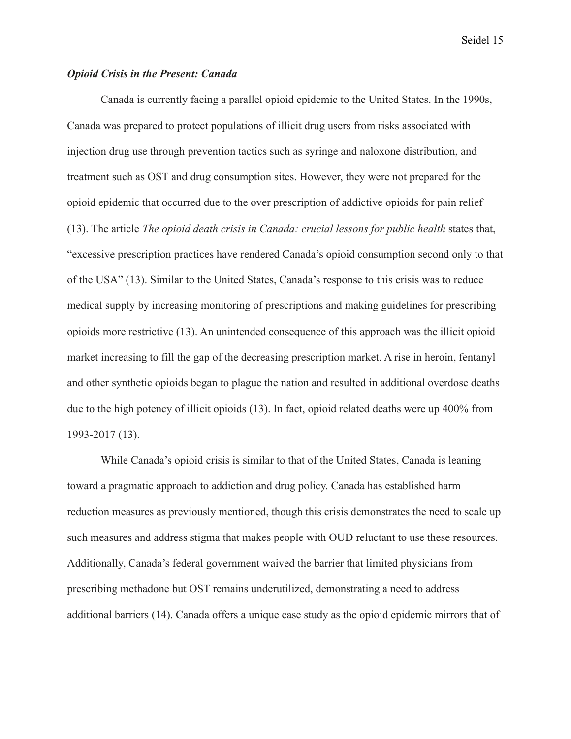### *Opioid Crisis in the Present: Canada*

Canada is currently facing a parallel opioid epidemic to the United States. In the 1990s, Canada was prepared to protect populations of illicit drug users from risks associated with injection drug use through prevention tactics such as syringe and naloxone distribution, and treatment such as OST and drug consumption sites. However, they were not prepared for the opioid epidemic that occurred due to the over prescription of addictive opioids for pain relief (13). The article *The opioid death crisis in Canada: crucial lessons for public health* states that, "excessive prescription practices have rendered Canada's opioid consumption second only to that of the USA" (13). Similar to the United States, Canada's response to this crisis was to reduce medical supply by increasing monitoring of prescriptions and making guidelines for prescribing opioids more restrictive (13). An unintended consequence of this approach was the illicit opioid market increasing to fill the gap of the decreasing prescription market. A rise in heroin, fentanyl and other synthetic opioids began to plague the nation and resulted in additional overdose deaths due to the high potency of illicit opioids (13). In fact, opioid related deaths were up 400% from 1993-2017 (13).

While Canada's opioid crisis is similar to that of the United States, Canada is leaning toward a pragmatic approach to addiction and drug policy. Canada has established harm reduction measures as previously mentioned, though this crisis demonstrates the need to scale up such measures and address stigma that makes people with OUD reluctant to use these resources. Additionally, Canada's federal government waived the barrier that limited physicians from prescribing methadone but OST remains underutilized, demonstrating a need to address additional barriers (14). Canada offers a unique case study as the opioid epidemic mirrors that of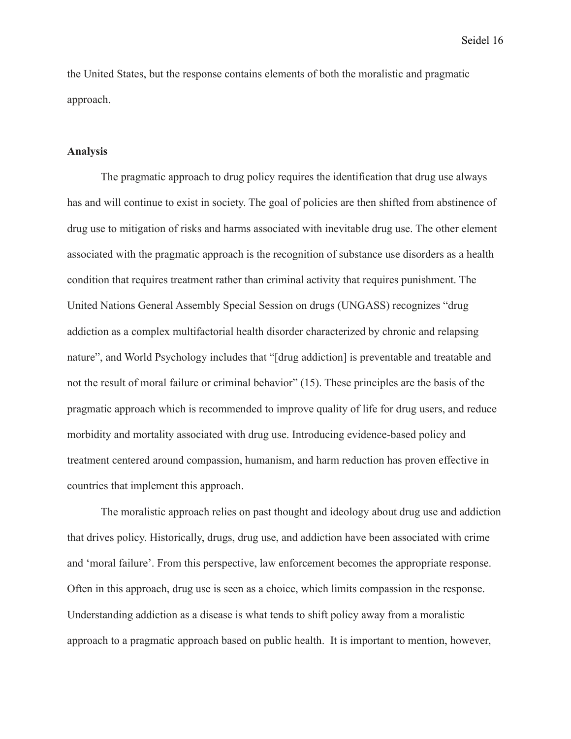the United States, but the response contains elements of both the moralistic and pragmatic approach.

#### **Analysis**

The pragmatic approach to drug policy requires the identification that drug use always has and will continue to exist in society. The goal of policies are then shifted from abstinence of drug use to mitigation of risks and harms associated with inevitable drug use. The other element associated with the pragmatic approach is the recognition of substance use disorders as a health condition that requires treatment rather than criminal activity that requires punishment. The United Nations General Assembly Special Session on drugs (UNGASS) recognizes "drug addiction as a complex multifactorial health disorder characterized by chronic and relapsing nature", and World Psychology includes that "[drug addiction] is preventable and treatable and not the result of moral failure or criminal behavior" (15). These principles are the basis of the pragmatic approach which is recommended to improve quality of life for drug users, and reduce morbidity and mortality associated with drug use. Introducing evidence-based policy and treatment centered around compassion, humanism, and harm reduction has proven effective in countries that implement this approach.

The moralistic approach relies on past thought and ideology about drug use and addiction that drives policy. Historically, drugs, drug use, and addiction have been associated with crime and 'moral failure'. From this perspective, law enforcement becomes the appropriate response. Often in this approach, drug use is seen as a choice, which limits compassion in the response. Understanding addiction as a disease is what tends to shift policy away from a moralistic approach to a pragmatic approach based on public health. It is important to mention, however,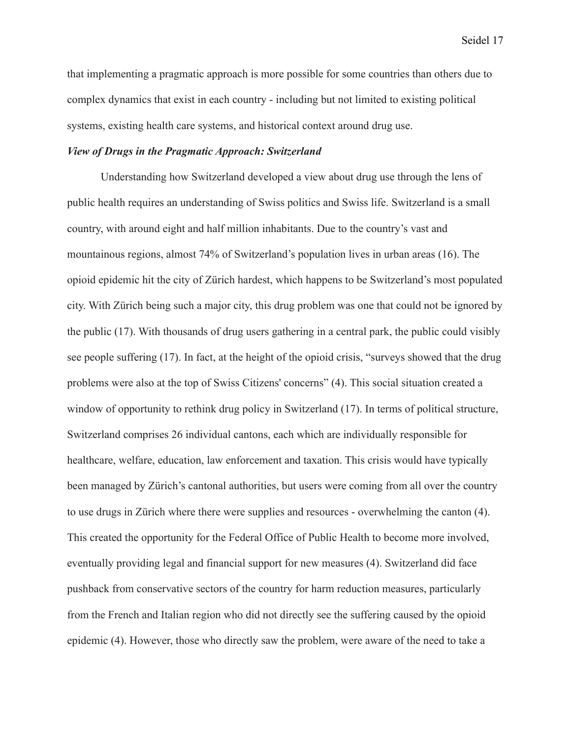that implementing a pragmatic approach is more possible for some countries than others due to complex dynamics that exist in each country - including but not limited to existing political systems, existing health care systems, and historical context around drug use.

# *View of Drugs in the Pragmatic Approach: Switzerland*

Understanding how Switzerland developed a view about drug use through the lens of public health requires an understanding of Swiss politics and Swiss life. Switzerland is a small country, with around eight and half million inhabitants. Due to the country's vast and mountainous regions, almost 74% of Switzerland's population lives in urban areas (16). The opioid epidemic hit the city of Zürich hardest, which happens to be Switzerland's most populated city. With Zürich being such a major city, this drug problem was one that could not be ignored by the public (17). With thousands of drug users gathering in a central park, the public could visibly see people suffering (17). In fact, at the height of the opioid crisis, "surveys showed that the drug problems were also at the top of Swiss Citizens' concerns" (4). This social situation created a window of opportunity to rethink drug policy in Switzerland (17). In terms of political structure, Switzerland comprises 26 individual cantons, each which are individually responsible for healthcare, welfare, education, law enforcement and taxation. This crisis would have typically been managed by Zürich's cantonal authorities, but users were coming from all over the country to use drugs in Zürich where there were supplies and resources - overwhelming the canton (4). This created the opportunity for the Federal Office of Public Health to become more involved, eventually providing legal and financial support for new measures (4). Switzerland did face pushback from conservative sectors of the country for harm reduction measures, particularly from the French and Italian region who did not directly see the suffering caused by the opioid epidemic (4). However, those who directly saw the problem, were aware of the need to take a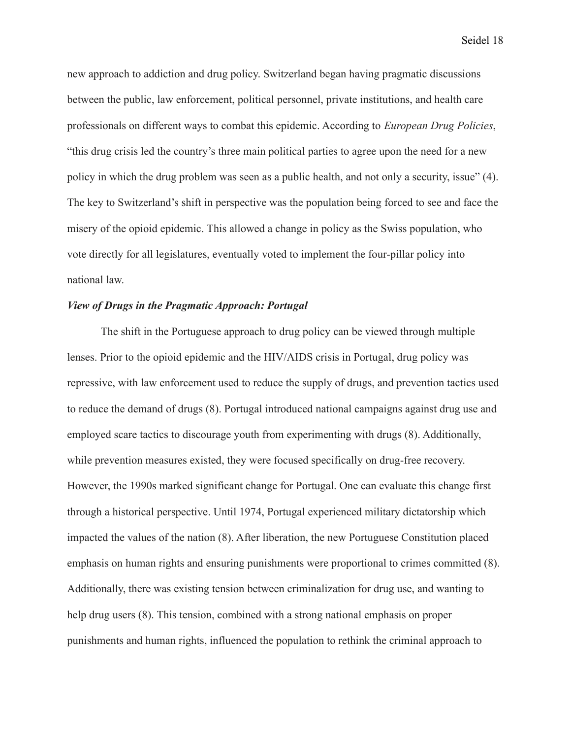new approach to addiction and drug policy. Switzerland began having pragmatic discussions between the public, law enforcement, political personnel, private institutions, and health care professionals on different ways to combat this epidemic. According to *European Drug Policies*, "this drug crisis led the country's three main political parties to agree upon the need for a new policy in which the drug problem was seen as a public health, and not only a security, issue" (4). The key to Switzerland's shift in perspective was the population being forced to see and face the misery of the opioid epidemic. This allowed a change in policy as the Swiss population, who vote directly for all legislatures, eventually voted to implement the four-pillar policy into national law.

# *View of Drugs in the Pragmatic Approach: Portugal*

The shift in the Portuguese approach to drug policy can be viewed through multiple lenses. Prior to the opioid epidemic and the HIV/AIDS crisis in Portugal, drug policy was repressive, with law enforcement used to reduce the supply of drugs, and prevention tactics used to reduce the demand of drugs (8). Portugal introduced national campaigns against drug use and employed scare tactics to discourage youth from experimenting with drugs (8). Additionally, while prevention measures existed, they were focused specifically on drug-free recovery. However, the 1990s marked significant change for Portugal. One can evaluate this change first through a historical perspective. Until 1974, Portugal experienced military dictatorship which impacted the values of the nation (8). After liberation, the new Portuguese Constitution placed emphasis on human rights and ensuring punishments were proportional to crimes committed (8). Additionally, there was existing tension between criminalization for drug use, and wanting to help drug users (8). This tension, combined with a strong national emphasis on proper punishments and human rights, influenced the population to rethink the criminal approach to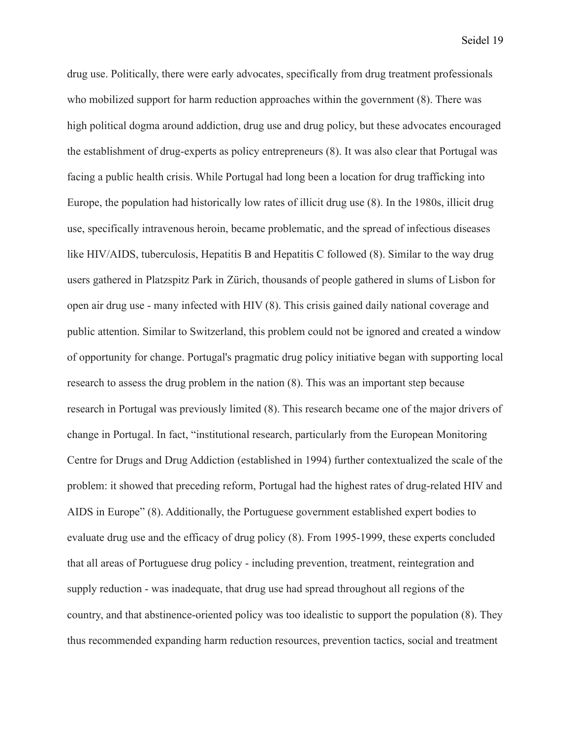drug use. Politically, there were early advocates, specifically from drug treatment professionals who mobilized support for harm reduction approaches within the government (8). There was high political dogma around addiction, drug use and drug policy, but these advocates encouraged the establishment of drug-experts as policy entrepreneurs (8). It was also clear that Portugal was facing a public health crisis. While Portugal had long been a location for drug trafficking into Europe, the population had historically low rates of illicit drug use (8). In the 1980s, illicit drug use, specifically intravenous heroin, became problematic, and the spread of infectious diseases like HIV/AIDS, tuberculosis, Hepatitis B and Hepatitis C followed (8). Similar to the way drug users gathered in Platzspitz Park in Zürich, thousands of people gathered in slums of Lisbon for open air drug use - many infected with HIV (8). This crisis gained daily national coverage and public attention. Similar to Switzerland, this problem could not be ignored and created a window of opportunity for change. Portugal's pragmatic drug policy initiative began with supporting local research to assess the drug problem in the nation (8). This was an important step because research in Portugal was previously limited (8). This research became one of the major drivers of change in Portugal. In fact, "institutional research, particularly from the European Monitoring Centre for Drugs and Drug Addiction (established in 1994) further contextualized the scale of the problem: it showed that preceding reform, Portugal had the highest rates of drug-related HIV and AIDS in Europe" (8). Additionally, the Portuguese government established expert bodies to evaluate drug use and the efficacy of drug policy (8). From 1995-1999, these experts concluded that all areas of Portuguese drug policy - including prevention, treatment, reintegration and supply reduction - was inadequate, that drug use had spread throughout all regions of the country, and that abstinence-oriented policy was too idealistic to support the population (8). They thus recommended expanding harm reduction resources, prevention tactics, social and treatment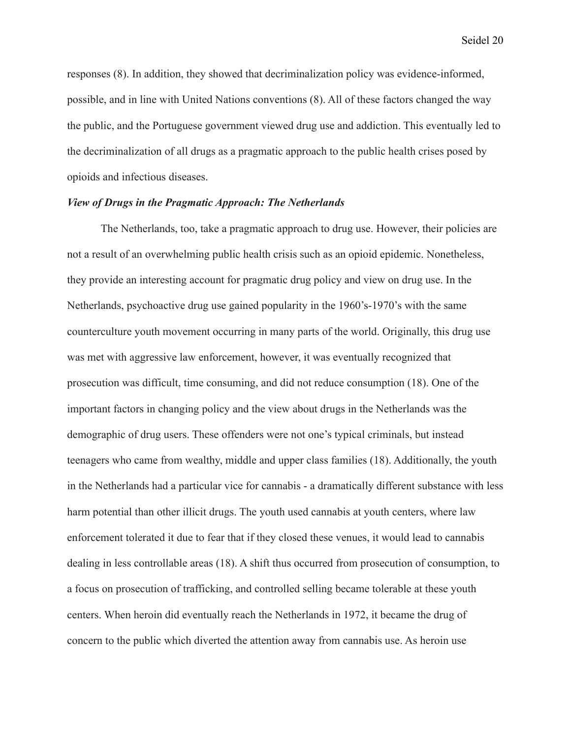responses (8). In addition, they showed that decriminalization policy was evidence-informed, possible, and in line with United Nations conventions (8). All of these factors changed the way the public, and the Portuguese government viewed drug use and addiction. This eventually led to the decriminalization of all drugs as a pragmatic approach to the public health crises posed by opioids and infectious diseases.

#### *View of Drugs in the Pragmatic Approach: The Netherlands*

The Netherlands, too, take a pragmatic approach to drug use. However, their policies are not a result of an overwhelming public health crisis such as an opioid epidemic. Nonetheless, they provide an interesting account for pragmatic drug policy and view on drug use. In the Netherlands, psychoactive drug use gained popularity in the 1960's-1970's with the same counterculture youth movement occurring in many parts of the world. Originally, this drug use was met with aggressive law enforcement, however, it was eventually recognized that prosecution was difficult, time consuming, and did not reduce consumption (18). One of the important factors in changing policy and the view about drugs in the Netherlands was the demographic of drug users. These offenders were not one's typical criminals, but instead teenagers who came from wealthy, middle and upper class families (18). Additionally, the youth in the Netherlands had a particular vice for cannabis - a dramatically different substance with less harm potential than other illicit drugs. The youth used cannabis at youth centers, where law enforcement tolerated it due to fear that if they closed these venues, it would lead to cannabis dealing in less controllable areas (18). A shift thus occurred from prosecution of consumption, to a focus on prosecution of trafficking, and controlled selling became tolerable at these youth centers. When heroin did eventually reach the Netherlands in 1972, it became the drug of concern to the public which diverted the attention away from cannabis use. As heroin use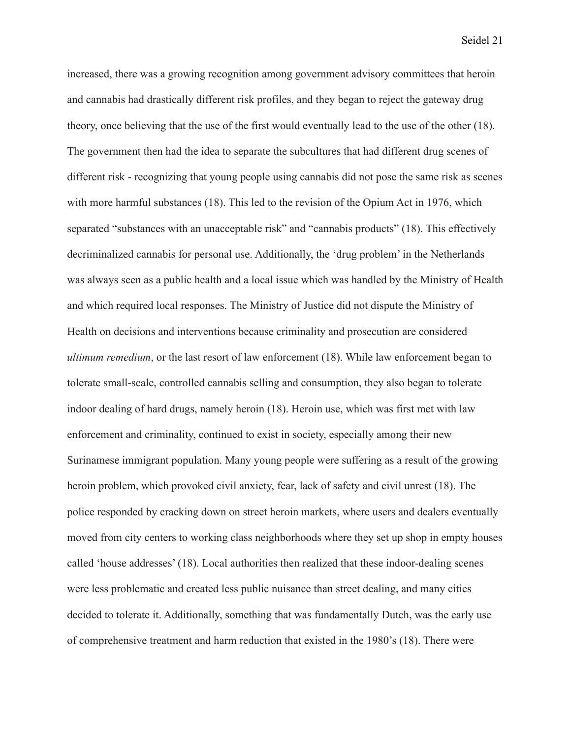increased, there was a growing recognition among government advisory committees that heroin and cannabis had drastically different risk profiles, and they began to reject the gateway drug theory, once believing that the use of the first would eventually lead to the use of the other (18). The government then had the idea to separate the subcultures that had different drug scenes of different risk - recognizing that young people using cannabis did not pose the same risk as scenes with more harmful substances (18). This led to the revision of the Opium Act in 1976, which separated "substances with an unacceptable risk" and "cannabis products" (18). This effectively decriminalized cannabis for personal use. Additionally, the 'drug problem' in the Netherlands was always seen as a public health and a local issue which was handled by the Ministry of Health and which required local responses. The Ministry of Justice did not dispute the Ministry of Health on decisions and interventions because criminality and prosecution are considered *ultimum remedium*, or the last resort of law enforcement (18). While law enforcement began to tolerate small-scale, controlled cannabis selling and consumption, they also began to tolerate indoor dealing of hard drugs, namely heroin (18). Heroin use, which was first met with law enforcement and criminality, continued to exist in society, especially among their new Surinamese immigrant population. Many young people were suffering as a result of the growing heroin problem, which provoked civil anxiety, fear, lack of safety and civil unrest (18). The police responded by cracking down on street heroin markets, where users and dealers eventually moved from city centers to working class neighborhoods where they set up shop in empty houses called 'house addresses' (18). Local authorities then realized that these indoor-dealing scenes were less problematic and created less public nuisance than street dealing, and many cities decided to tolerate it. Additionally, something that was fundamentally Dutch, was the early use of comprehensive treatment and harm reduction that existed in the 1980's (18). There were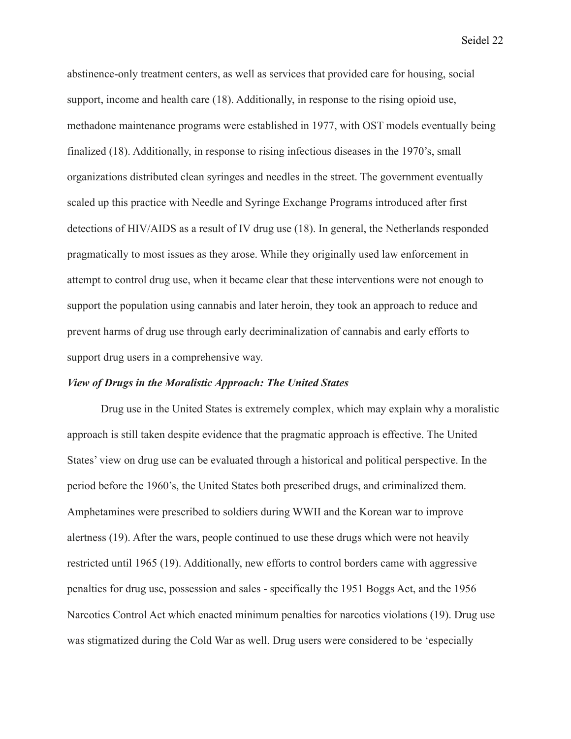abstinence-only treatment centers, as well as services that provided care for housing, social support, income and health care (18). Additionally, in response to the rising opioid use, methadone maintenance programs were established in 1977, with OST models eventually being finalized (18). Additionally, in response to rising infectious diseases in the 1970's, small organizations distributed clean syringes and needles in the street. The government eventually scaled up this practice with Needle and Syringe Exchange Programs introduced after first detections of HIV/AIDS as a result of IV drug use (18). In general, the Netherlands responded pragmatically to most issues as they arose. While they originally used law enforcement in attempt to control drug use, when it became clear that these interventions were not enough to support the population using cannabis and later heroin, they took an approach to reduce and prevent harms of drug use through early decriminalization of cannabis and early efforts to support drug users in a comprehensive way.

#### *View of Drugs in the Moralistic Approach: The United States*

Drug use in the United States is extremely complex, which may explain why a moralistic approach is still taken despite evidence that the pragmatic approach is effective. The United States' view on drug use can be evaluated through a historical and political perspective. In the period before the 1960's, the United States both prescribed drugs, and criminalized them. Amphetamines were prescribed to soldiers during WWII and the Korean war to improve alertness (19). After the wars, people continued to use these drugs which were not heavily restricted until 1965 (19). Additionally, new efforts to control borders came with aggressive penalties for drug use, possession and sales - specifically the 1951 Boggs Act, and the 1956 Narcotics Control Act which enacted minimum penalties for narcotics violations (19). Drug use was stigmatized during the Cold War as well. Drug users were considered to be 'especially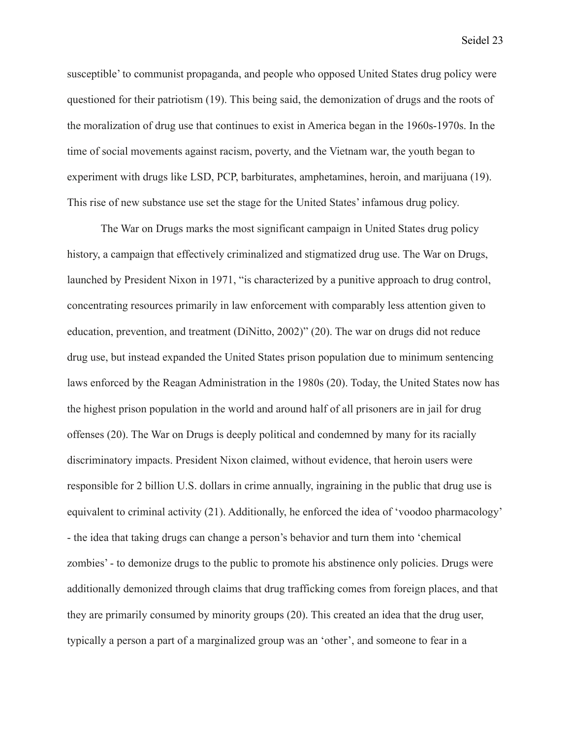susceptible' to communist propaganda, and people who opposed United States drug policy were questioned for their patriotism (19). This being said, the demonization of drugs and the roots of the moralization of drug use that continues to exist in America began in the 1960s-1970s. In the time of social movements against racism, poverty, and the Vietnam war, the youth began to experiment with drugs like LSD, PCP, barbiturates, amphetamines, heroin, and marijuana (19). This rise of new substance use set the stage for the United States' infamous drug policy.

The War on Drugs marks the most significant campaign in United States drug policy history, a campaign that effectively criminalized and stigmatized drug use. The War on Drugs, launched by President Nixon in 1971, "is characterized by a punitive approach to drug control, concentrating resources primarily in law enforcement with comparably less attention given to education, prevention, and treatment (DiNitto, 2002)" (20). The war on drugs did not reduce drug use, but instead expanded the United States prison population due to minimum sentencing laws enforced by the Reagan Administration in the 1980s (20). Today, the United States now has the highest prison population in the world and around half of all prisoners are in jail for drug offenses (20). The War on Drugs is deeply political and condemned by many for its racially discriminatory impacts. President Nixon claimed, without evidence, that heroin users were responsible for 2 billion U.S. dollars in crime annually, ingraining in the public that drug use is equivalent to criminal activity (21). Additionally, he enforced the idea of 'voodoo pharmacology' - the idea that taking drugs can change a person's behavior and turn them into 'chemical zombies' - to demonize drugs to the public to promote his abstinence only policies. Drugs were additionally demonized through claims that drug trafficking comes from foreign places, and that they are primarily consumed by minority groups (20). This created an idea that the drug user, typically a person a part of a marginalized group was an 'other', and someone to fear in a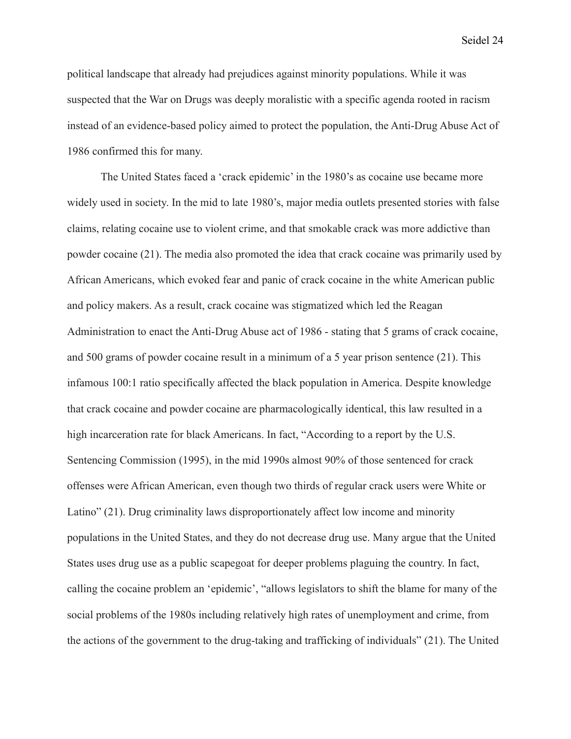political landscape that already had prejudices against minority populations. While it was suspected that the War on Drugs was deeply moralistic with a specific agenda rooted in racism instead of an evidence-based policy aimed to protect the population, the Anti-Drug Abuse Act of 1986 confirmed this for many.

The United States faced a 'crack epidemic' in the 1980's as cocaine use became more widely used in society. In the mid to late 1980's, major media outlets presented stories with false claims, relating cocaine use to violent crime, and that smokable crack was more addictive than powder cocaine (21). The media also promoted the idea that crack cocaine was primarily used by African Americans, which evoked fear and panic of crack cocaine in the white American public and policy makers. As a result, crack cocaine was stigmatized which led the Reagan Administration to enact the Anti-Drug Abuse act of 1986 - stating that 5 grams of crack cocaine, and 500 grams of powder cocaine result in a minimum of a 5 year prison sentence (21). This infamous 100:1 ratio specifically affected the black population in America. Despite knowledge that crack cocaine and powder cocaine are pharmacologically identical, this law resulted in a high incarceration rate for black Americans. In fact, "According to a report by the U.S. Sentencing Commission (1995), in the mid 1990s almost 90% of those sentenced for crack offenses were African American, even though two thirds of regular crack users were White or Latino" (21). Drug criminality laws disproportionately affect low income and minority populations in the United States, and they do not decrease drug use. Many argue that the United States uses drug use as a public scapegoat for deeper problems plaguing the country. In fact, calling the cocaine problem an 'epidemic', "allows legislators to shift the blame for many of the social problems of the 1980s including relatively high rates of unemployment and crime, from the actions of the government to the drug-taking and trafficking of individuals" (21). The United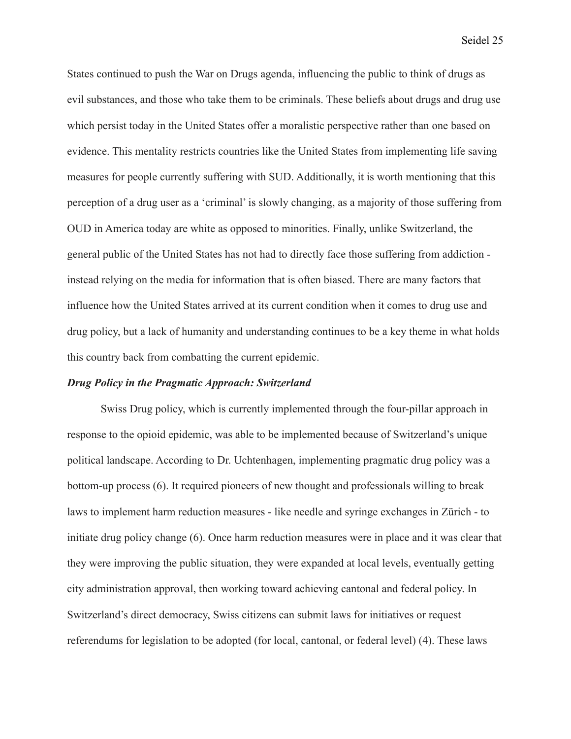States continued to push the War on Drugs agenda, influencing the public to think of drugs as evil substances, and those who take them to be criminals. These beliefs about drugs and drug use which persist today in the United States offer a moralistic perspective rather than one based on evidence. This mentality restricts countries like the United States from implementing life saving measures for people currently suffering with SUD. Additionally, it is worth mentioning that this perception of a drug user as a 'criminal' is slowly changing, as a majority of those suffering from OUD in America today are white as opposed to minorities. Finally, unlike Switzerland, the general public of the United States has not had to directly face those suffering from addiction instead relying on the media for information that is often biased. There are many factors that influence how the United States arrived at its current condition when it comes to drug use and drug policy, but a lack of humanity and understanding continues to be a key theme in what holds this country back from combatting the current epidemic.

# *Drug Policy in the Pragmatic Approach: Switzerland*

Swiss Drug policy, which is currently implemented through the four-pillar approach in response to the opioid epidemic, was able to be implemented because of Switzerland's unique political landscape. According to Dr. Uchtenhagen, implementing pragmatic drug policy was a bottom-up process (6). It required pioneers of new thought and professionals willing to break laws to implement harm reduction measures - like needle and syringe exchanges in Zürich - to initiate drug policy change (6). Once harm reduction measures were in place and it was clear that they were improving the public situation, they were expanded at local levels, eventually getting city administration approval, then working toward achieving cantonal and federal policy. In Switzerland's direct democracy, Swiss citizens can submit laws for initiatives or request referendums for legislation to be adopted (for local, cantonal, or federal level) (4). These laws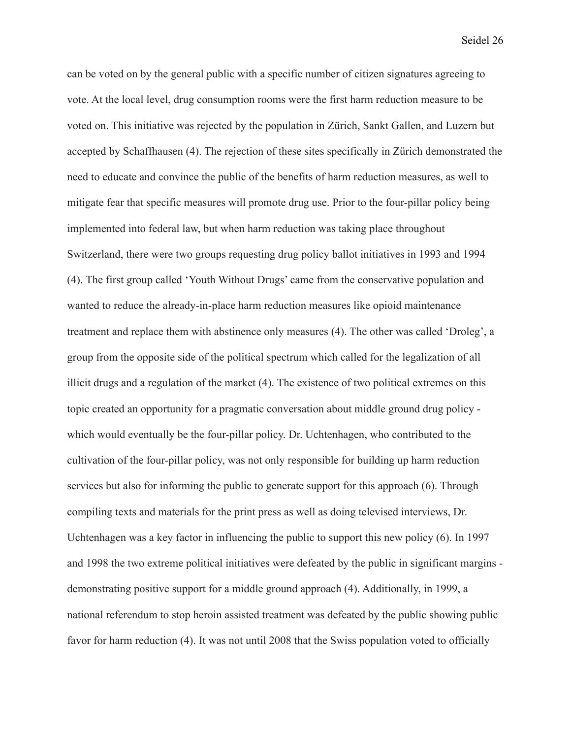can be voted on by the general public with a specific number of citizen signatures agreeing to vote. At the local level, drug consumption rooms were the first harm reduction measure to be voted on. This initiative was rejected by the population in Zürich, Sankt Gallen, and Luzern but accepted by Schaffhausen (4). The rejection of these sites specifically in Zürich demonstrated the need to educate and convince the public of the benefits of harm reduction measures, as well to mitigate fear that specific measures will promote drug use. Prior to the four-pillar policy being implemented into federal law, but when harm reduction was taking place throughout Switzerland, there were two groups requesting drug policy ballot initiatives in 1993 and 1994 (4). The first group called 'Youth Without Drugs' came from the conservative population and wanted to reduce the already-in-place harm reduction measures like opioid maintenance treatment and replace them with abstinence only measures (4). The other was called 'Droleg', a group from the opposite side of the political spectrum which called for the legalization of all illicit drugs and a regulation of the market (4). The existence of two political extremes on this topic created an opportunity for a pragmatic conversation about middle ground drug policy which would eventually be the four-pillar policy. Dr. Uchtenhagen, who contributed to the cultivation of the four-pillar policy, was not only responsible for building up harm reduction services but also for informing the public to generate support for this approach (6). Through compiling texts and materials for the print press as well as doing televised interviews, Dr. Uchtenhagen was a key factor in influencing the public to support this new policy (6). In 1997 and 1998 the two extreme political initiatives were defeated by the public in significant margins demonstrating positive support for a middle ground approach (4). Additionally, in 1999, a national referendum to stop heroin assisted treatment was defeated by the public showing public favor for harm reduction (4). It was not until 2008 that the Swiss population voted to officially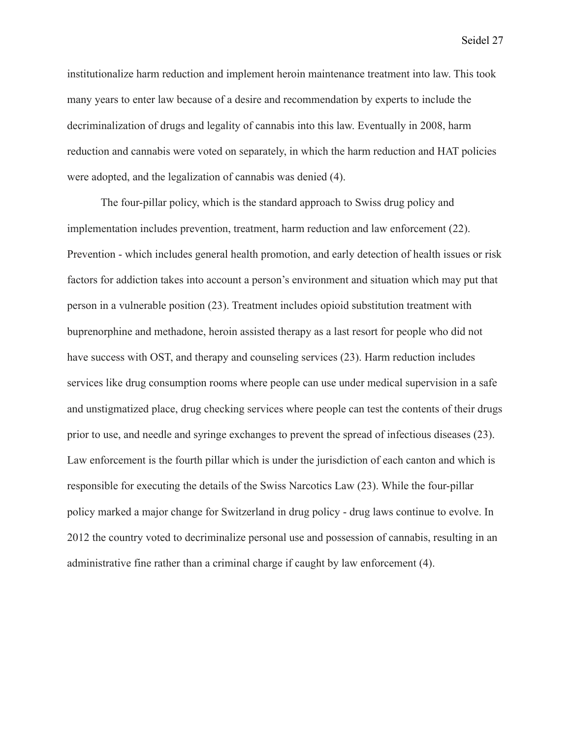institutionalize harm reduction and implement heroin maintenance treatment into law. This took many years to enter law because of a desire and recommendation by experts to include the decriminalization of drugs and legality of cannabis into this law. Eventually in 2008, harm reduction and cannabis were voted on separately, in which the harm reduction and HAT policies were adopted, and the legalization of cannabis was denied (4).

The four-pillar policy, which is the standard approach to Swiss drug policy and implementation includes prevention, treatment, harm reduction and law enforcement (22). Prevention - which includes general health promotion, and early detection of health issues or risk factors for addiction takes into account a person's environment and situation which may put that person in a vulnerable position (23). Treatment includes opioid substitution treatment with buprenorphine and methadone, heroin assisted therapy as a last resort for people who did not have success with OST, and therapy and counseling services (23). Harm reduction includes services like drug consumption rooms where people can use under medical supervision in a safe and unstigmatized place, drug checking services where people can test the contents of their drugs prior to use, and needle and syringe exchanges to prevent the spread of infectious diseases (23). Law enforcement is the fourth pillar which is under the jurisdiction of each canton and which is responsible for executing the details of the Swiss Narcotics Law (23). While the four-pillar policy marked a major change for Switzerland in drug policy - drug laws continue to evolve. In 2012 the country voted to decriminalize personal use and possession of cannabis, resulting in an administrative fine rather than a criminal charge if caught by law enforcement (4).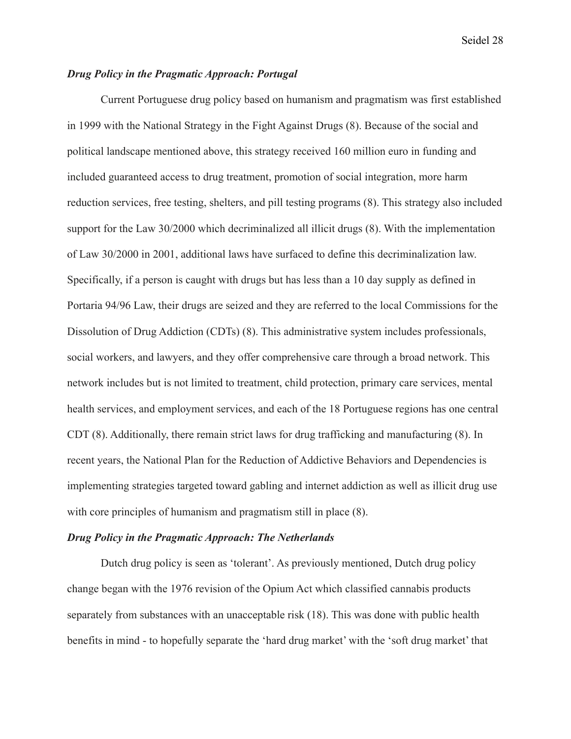# *Drug Policy in the Pragmatic Approach: Portugal*

Current Portuguese drug policy based on humanism and pragmatism was first established in 1999 with the National Strategy in the Fight Against Drugs (8). Because of the social and political landscape mentioned above, this strategy received 160 million euro in funding and included guaranteed access to drug treatment, promotion of social integration, more harm reduction services, free testing, shelters, and pill testing programs (8). This strategy also included support for the Law 30/2000 which decriminalized all illicit drugs (8). With the implementation of Law 30/2000 in 2001, additional laws have surfaced to define this decriminalization law. Specifically, if a person is caught with drugs but has less than a 10 day supply as defined in Portaria 94/96 Law, their drugs are seized and they are referred to the local Commissions for the Dissolution of Drug Addiction (CDTs) (8). This administrative system includes professionals, social workers, and lawyers, and they offer comprehensive care through a broad network. This network includes but is not limited to treatment, child protection, primary care services, mental health services, and employment services, and each of the 18 Portuguese regions has one central CDT (8). Additionally, there remain strict laws for drug trafficking and manufacturing (8). In recent years, the National Plan for the Reduction of Addictive Behaviors and Dependencies is implementing strategies targeted toward gabling and internet addiction as well as illicit drug use with core principles of humanism and pragmatism still in place (8).

#### *Drug Policy in the Pragmatic Approach: The Netherlands*

Dutch drug policy is seen as 'tolerant'. As previously mentioned, Dutch drug policy change began with the 1976 revision of the Opium Act which classified cannabis products separately from substances with an unacceptable risk (18). This was done with public health benefits in mind - to hopefully separate the 'hard drug market' with the 'soft drug market' that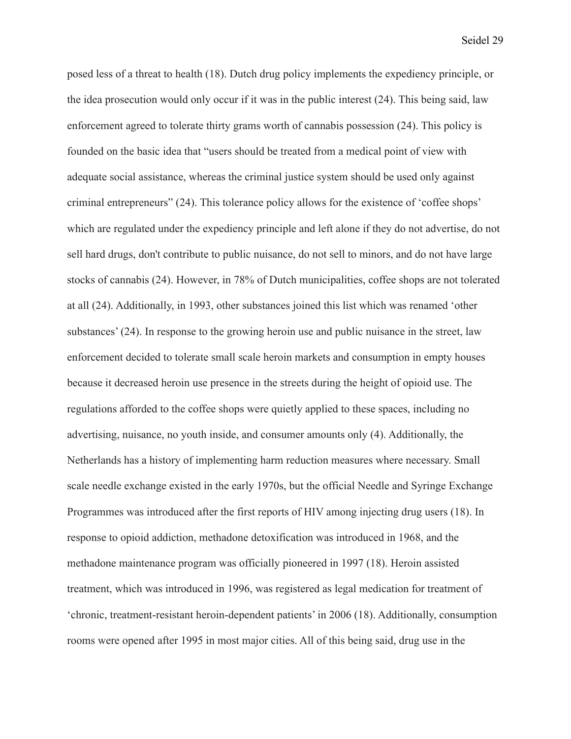posed less of a threat to health (18). Dutch drug policy implements the expediency principle, or the idea prosecution would only occur if it was in the public interest (24). This being said, law enforcement agreed to tolerate thirty grams worth of cannabis possession (24). This policy is founded on the basic idea that "users should be treated from a medical point of view with adequate social assistance, whereas the criminal justice system should be used only against criminal entrepreneurs" (24). This tolerance policy allows for the existence of 'coffee shops' which are regulated under the expediency principle and left alone if they do not advertise, do not sell hard drugs, don't contribute to public nuisance, do not sell to minors, and do not have large stocks of cannabis (24). However, in 78% of Dutch municipalities, coffee shops are not tolerated at all (24). Additionally, in 1993, other substances joined this list which was renamed 'other substances' (24). In response to the growing heroin use and public nuisance in the street, law enforcement decided to tolerate small scale heroin markets and consumption in empty houses because it decreased heroin use presence in the streets during the height of opioid use. The regulations afforded to the coffee shops were quietly applied to these spaces, including no advertising, nuisance, no youth inside, and consumer amounts only (4). Additionally, the Netherlands has a history of implementing harm reduction measures where necessary. Small scale needle exchange existed in the early 1970s, but the official Needle and Syringe Exchange Programmes was introduced after the first reports of HIV among injecting drug users (18). In response to opioid addiction, methadone detoxification was introduced in 1968, and the methadone maintenance program was officially pioneered in 1997 (18). Heroin assisted treatment, which was introduced in 1996, was registered as legal medication for treatment of 'chronic, treatment-resistant heroin-dependent patients' in 2006 (18). Additionally, consumption rooms were opened after 1995 in most major cities. All of this being said, drug use in the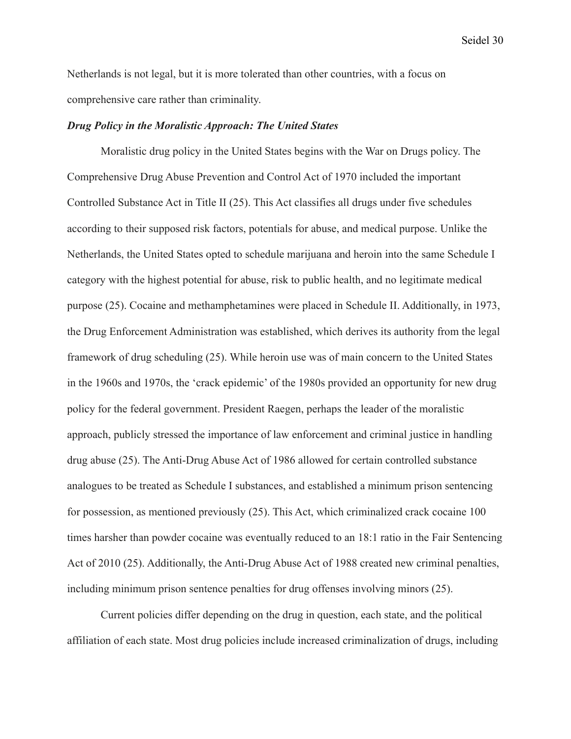Netherlands is not legal, but it is more tolerated than other countries, with a focus on comprehensive care rather than criminality.

#### *Drug Policy in the Moralistic Approach: The United States*

Moralistic drug policy in the United States begins with the War on Drugs policy. The Comprehensive Drug Abuse Prevention and Control Act of 1970 included the important Controlled Substance Act in Title II (25). This Act classifies all drugs under five schedules according to their supposed risk factors, potentials for abuse, and medical purpose. Unlike the Netherlands, the United States opted to schedule marijuana and heroin into the same Schedule I category with the highest potential for abuse, risk to public health, and no legitimate medical purpose (25). Cocaine and methamphetamines were placed in Schedule II. Additionally, in 1973, the Drug Enforcement Administration was established, which derives its authority from the legal framework of drug scheduling (25). While heroin use was of main concern to the United States in the 1960s and 1970s, the 'crack epidemic' of the 1980s provided an opportunity for new drug policy for the federal government. President Raegen, perhaps the leader of the moralistic approach, publicly stressed the importance of law enforcement and criminal justice in handling drug abuse (25). The Anti-Drug Abuse Act of 1986 allowed for certain controlled substance analogues to be treated as Schedule I substances, and established a minimum prison sentencing for possession, as mentioned previously (25). This Act, which criminalized crack cocaine 100 times harsher than powder cocaine was eventually reduced to an 18:1 ratio in the Fair Sentencing Act of 2010 (25). Additionally, the Anti-Drug Abuse Act of 1988 created new criminal penalties, including minimum prison sentence penalties for drug offenses involving minors (25).

Current policies differ depending on the drug in question, each state, and the political affiliation of each state. Most drug policies include increased criminalization of drugs, including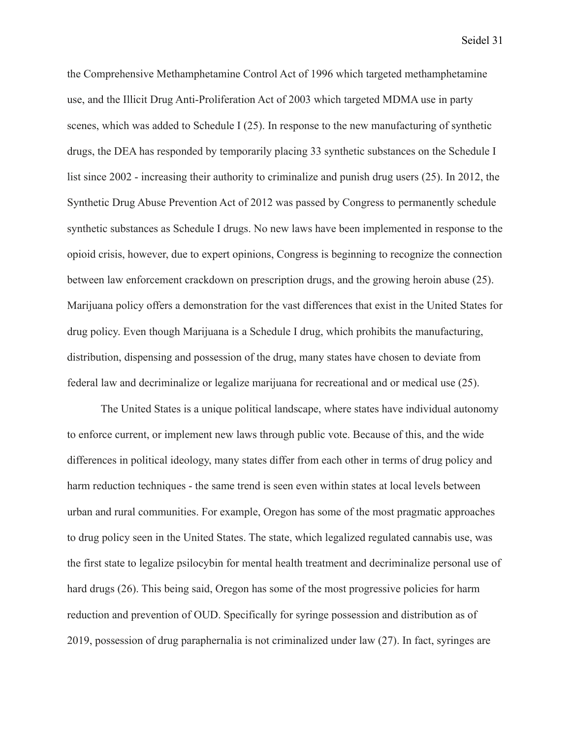the Comprehensive Methamphetamine Control Act of 1996 which targeted methamphetamine use, and the Illicit Drug Anti-Proliferation Act of 2003 which targeted MDMA use in party scenes, which was added to Schedule I (25). In response to the new manufacturing of synthetic drugs, the DEA has responded by temporarily placing 33 synthetic substances on the Schedule I list since 2002 - increasing their authority to criminalize and punish drug users (25). In 2012, the Synthetic Drug Abuse Prevention Act of 2012 was passed by Congress to permanently schedule synthetic substances as Schedule I drugs. No new laws have been implemented in response to the opioid crisis, however, due to expert opinions, Congress is beginning to recognize the connection between law enforcement crackdown on prescription drugs, and the growing heroin abuse (25). Marijuana policy offers a demonstration for the vast differences that exist in the United States for drug policy. Even though Marijuana is a Schedule I drug, which prohibits the manufacturing, distribution, dispensing and possession of the drug, many states have chosen to deviate from federal law and decriminalize or legalize marijuana for recreational and or medical use (25).

The United States is a unique political landscape, where states have individual autonomy to enforce current, or implement new laws through public vote. Because of this, and the wide differences in political ideology, many states differ from each other in terms of drug policy and harm reduction techniques - the same trend is seen even within states at local levels between urban and rural communities. For example, Oregon has some of the most pragmatic approaches to drug policy seen in the United States. The state, which legalized regulated cannabis use, was the first state to legalize psilocybin for mental health treatment and decriminalize personal use of hard drugs (26). This being said, Oregon has some of the most progressive policies for harm reduction and prevention of OUD. Specifically for syringe possession and distribution as of 2019, possession of drug paraphernalia is not criminalized under law (27). In fact, syringes are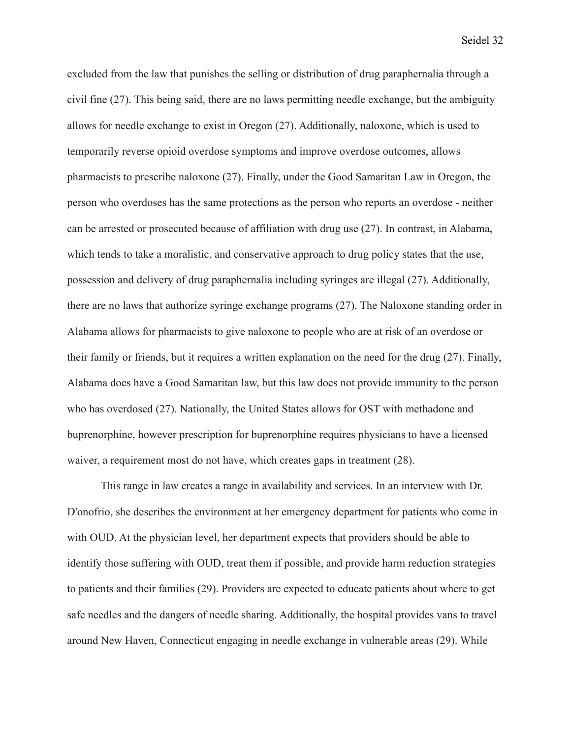excluded from the law that punishes the selling or distribution of drug paraphernalia through a civil fine (27). This being said, there are no laws permitting needle exchange, but the ambiguity allows for needle exchange to exist in Oregon (27). Additionally, naloxone, which is used to temporarily reverse opioid overdose symptoms and improve overdose outcomes, allows pharmacists to prescribe naloxone (27). Finally, under the Good Samaritan Law in Oregon, the person who overdoses has the same protections as the person who reports an overdose - neither can be arrested or prosecuted because of affiliation with drug use (27). In contrast, in Alabama, which tends to take a moralistic, and conservative approach to drug policy states that the use, possession and delivery of drug paraphernalia including syringes are illegal (27). Additionally, there are no laws that authorize syringe exchange programs (27). The Naloxone standing order in Alabama allows for pharmacists to give naloxone to people who are at risk of an overdose or their family or friends, but it requires a written explanation on the need for the drug (27). Finally, Alabama does have a Good Samaritan law, but this law does not provide immunity to the person who has overdosed (27). Nationally, the United States allows for OST with methadone and buprenorphine, however prescription for buprenorphine requires physicians to have a licensed waiver, a requirement most do not have, which creates gaps in treatment (28).

This range in law creates a range in availability and services. In an interview with Dr. D'onofrio, she describes the environment at her emergency department for patients who come in with OUD. At the physician level, her department expects that providers should be able to identify those suffering with OUD, treat them if possible, and provide harm reduction strategies to patients and their families (29). Providers are expected to educate patients about where to get safe needles and the dangers of needle sharing. Additionally, the hospital provides vans to travel around New Haven, Connecticut engaging in needle exchange in vulnerable areas (29). While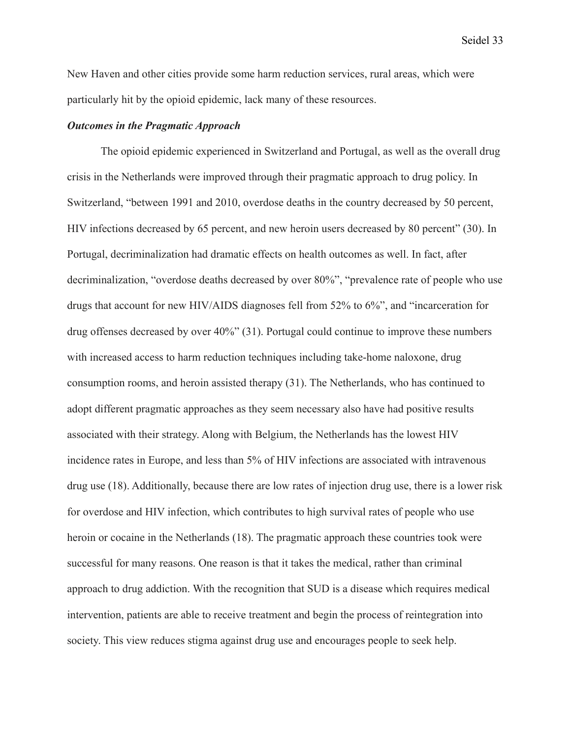New Haven and other cities provide some harm reduction services, rural areas, which were particularly hit by the opioid epidemic, lack many of these resources.

# *Outcomes in the Pragmatic Approach*

The opioid epidemic experienced in Switzerland and Portugal, as well as the overall drug crisis in the Netherlands were improved through their pragmatic approach to drug policy. In Switzerland, "between 1991 and 2010, overdose deaths in the country decreased by 50 percent, HIV infections decreased by 65 percent, and new heroin users decreased by 80 percent" (30). In Portugal, decriminalization had dramatic effects on health outcomes as well. In fact, after decriminalization, "overdose deaths decreased by over 80%", "prevalence rate of people who use drugs that account for new HIV/AIDS diagnoses fell from 52% to 6%", and "incarceration for drug offenses decreased by over 40%" (31). Portugal could continue to improve these numbers with increased access to harm reduction techniques including take-home naloxone, drug consumption rooms, and heroin assisted therapy (31). The Netherlands, who has continued to adopt different pragmatic approaches as they seem necessary also have had positive results associated with their strategy. Along with Belgium, the Netherlands has the lowest HIV incidence rates in Europe, and less than 5% of HIV infections are associated with intravenous drug use (18). Additionally, because there are low rates of injection drug use, there is a lower risk for overdose and HIV infection, which contributes to high survival rates of people who use heroin or cocaine in the Netherlands (18). The pragmatic approach these countries took were successful for many reasons. One reason is that it takes the medical, rather than criminal approach to drug addiction. With the recognition that SUD is a disease which requires medical intervention, patients are able to receive treatment and begin the process of reintegration into society. This view reduces stigma against drug use and encourages people to seek help.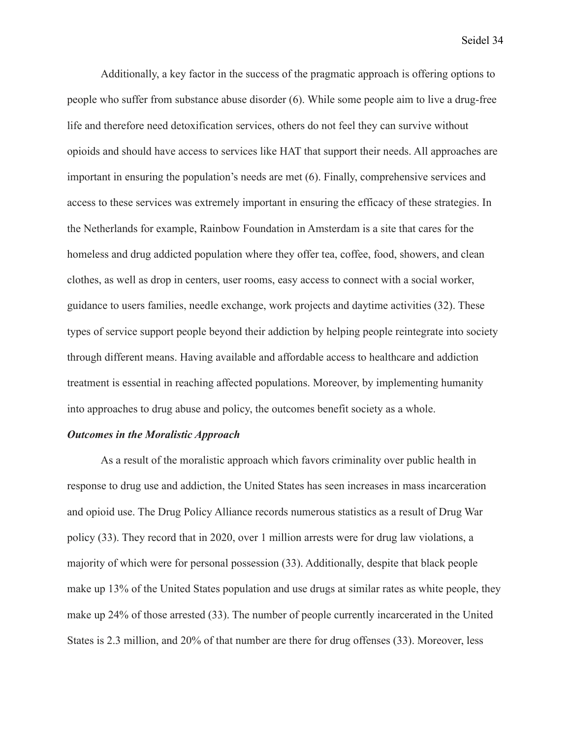Additionally, a key factor in the success of the pragmatic approach is offering options to people who suffer from substance abuse disorder (6). While some people aim to live a drug-free life and therefore need detoxification services, others do not feel they can survive without opioids and should have access to services like HAT that support their needs. All approaches are important in ensuring the population's needs are met (6). Finally, comprehensive services and access to these services was extremely important in ensuring the efficacy of these strategies. In the Netherlands for example, Rainbow Foundation in Amsterdam is a site that cares for the homeless and drug addicted population where they offer tea, coffee, food, showers, and clean clothes, as well as drop in centers, user rooms, easy access to connect with a social worker, guidance to users families, needle exchange, work projects and daytime activities (32). These types of service support people beyond their addiction by helping people reintegrate into society through different means. Having available and affordable access to healthcare and addiction treatment is essential in reaching affected populations. Moreover, by implementing humanity into approaches to drug abuse and policy, the outcomes benefit society as a whole.

#### *Outcomes in the Moralistic Approach*

As a result of the moralistic approach which favors criminality over public health in response to drug use and addiction, the United States has seen increases in mass incarceration and opioid use. The Drug Policy Alliance records numerous statistics as a result of Drug War policy (33). They record that in 2020, over 1 million arrests were for drug law violations, a majority of which were for personal possession (33). Additionally, despite that black people make up 13% of the United States population and use drugs at similar rates as white people, they make up 24% of those arrested (33). The number of people currently incarcerated in the United States is 2.3 million, and 20% of that number are there for drug offenses (33). Moreover, less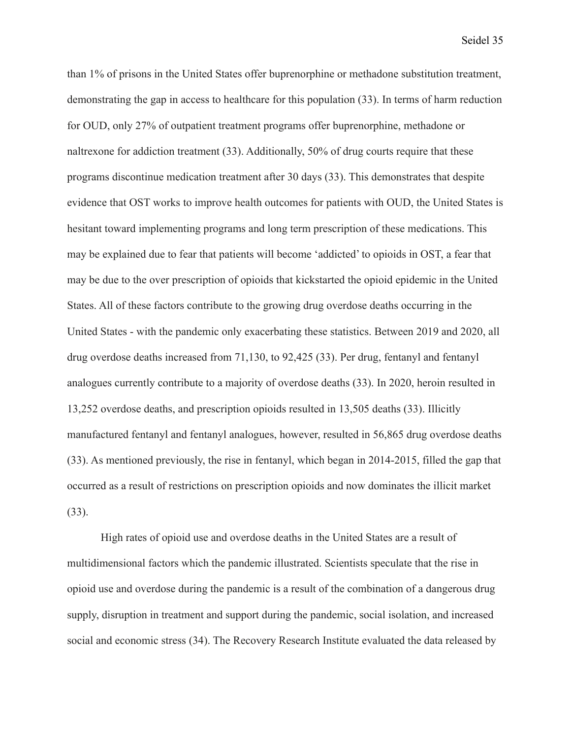than 1% of prisons in the United States offer buprenorphine or methadone substitution treatment, demonstrating the gap in access to healthcare for this population (33). In terms of harm reduction for OUD, only 27% of outpatient treatment programs offer buprenorphine, methadone or naltrexone for addiction treatment (33). Additionally, 50% of drug courts require that these programs discontinue medication treatment after 30 days (33). This demonstrates that despite evidence that OST works to improve health outcomes for patients with OUD, the United States is hesitant toward implementing programs and long term prescription of these medications. This may be explained due to fear that patients will become 'addicted' to opioids in OST, a fear that may be due to the over prescription of opioids that kickstarted the opioid epidemic in the United States. All of these factors contribute to the growing drug overdose deaths occurring in the United States - with the pandemic only exacerbating these statistics. Between 2019 and 2020, all drug overdose deaths increased from 71,130, to 92,425 (33). Per drug, fentanyl and fentanyl analogues currently contribute to a majority of overdose deaths (33). In 2020, heroin resulted in 13,252 overdose deaths, and prescription opioids resulted in 13,505 deaths (33). Illicitly manufactured fentanyl and fentanyl analogues, however, resulted in 56,865 drug overdose deaths (33). As mentioned previously, the rise in fentanyl, which began in 2014-2015, filled the gap that occurred as a result of restrictions on prescription opioids and now dominates the illicit market (33).

High rates of opioid use and overdose deaths in the United States are a result of multidimensional factors which the pandemic illustrated. Scientists speculate that the rise in opioid use and overdose during the pandemic is a result of the combination of a dangerous drug supply, disruption in treatment and support during the pandemic, social isolation, and increased social and economic stress (34). The Recovery Research Institute evaluated the data released by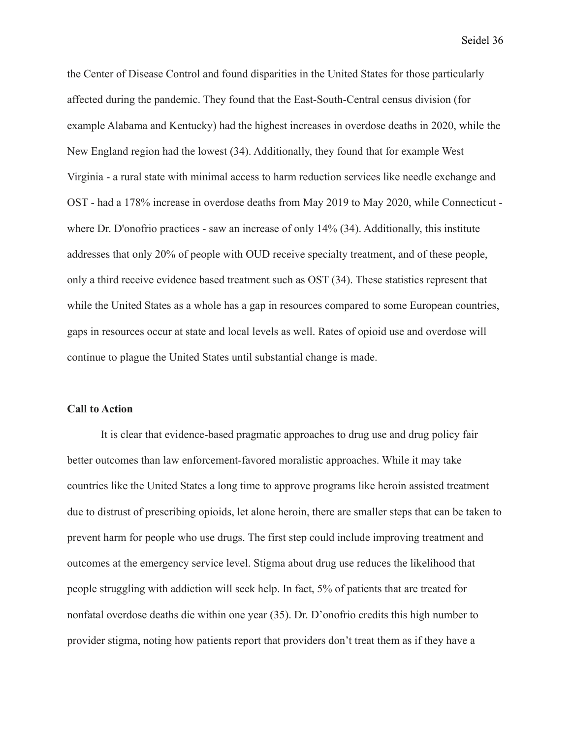the Center of Disease Control and found disparities in the United States for those particularly affected during the pandemic. They found that the East-South-Central census division (for example Alabama and Kentucky) had the highest increases in overdose deaths in 2020, while the New England region had the lowest (34). Additionally, they found that for example West Virginia - a rural state with minimal access to harm reduction services like needle exchange and OST - had a 178% increase in overdose deaths from May 2019 to May 2020, while Connecticut where Dr. D'onofrio practices - saw an increase of only 14% (34). Additionally, this institute addresses that only 20% of people with OUD receive specialty treatment, and of these people, only a third receive evidence based treatment such as OST (34). These statistics represent that while the United States as a whole has a gap in resources compared to some European countries, gaps in resources occur at state and local levels as well. Rates of opioid use and overdose will continue to plague the United States until substantial change is made.

#### **Call to Action**

It is clear that evidence-based pragmatic approaches to drug use and drug policy fair better outcomes than law enforcement-favored moralistic approaches. While it may take countries like the United States a long time to approve programs like heroin assisted treatment due to distrust of prescribing opioids, let alone heroin, there are smaller steps that can be taken to prevent harm for people who use drugs. The first step could include improving treatment and outcomes at the emergency service level. Stigma about drug use reduces the likelihood that people struggling with addiction will seek help. In fact, 5% of patients that are treated for nonfatal overdose deaths die within one year (35). Dr. D'onofrio credits this high number to provider stigma, noting how patients report that providers don't treat them as if they have a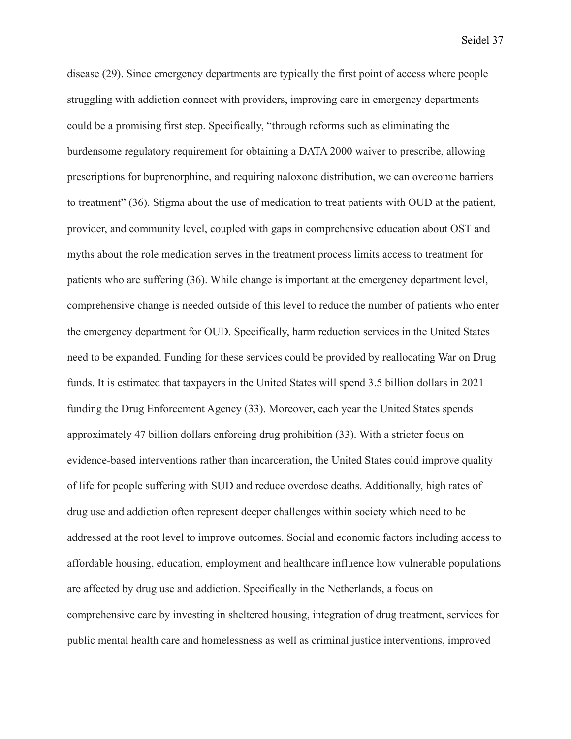disease (29). Since emergency departments are typically the first point of access where people struggling with addiction connect with providers, improving care in emergency departments could be a promising first step. Specifically, "through reforms such as eliminating the burdensome regulatory requirement for obtaining a DATA 2000 waiver to prescribe, allowing prescriptions for buprenorphine, and requiring naloxone distribution, we can overcome barriers to treatment" (36). Stigma about the use of medication to treat patients with OUD at the patient, provider, and community level, coupled with gaps in comprehensive education about OST and myths about the role medication serves in the treatment process limits access to treatment for patients who are suffering (36). While change is important at the emergency department level, comprehensive change is needed outside of this level to reduce the number of patients who enter the emergency department for OUD. Specifically, harm reduction services in the United States need to be expanded. Funding for these services could be provided by reallocating War on Drug funds. It is estimated that taxpayers in the United States will spend 3.5 billion dollars in 2021 funding the Drug Enforcement Agency (33). Moreover, each year the United States spends approximately 47 billion dollars enforcing drug prohibition (33). With a stricter focus on evidence-based interventions rather than incarceration, the United States could improve quality of life for people suffering with SUD and reduce overdose deaths. Additionally, high rates of drug use and addiction often represent deeper challenges within society which need to be addressed at the root level to improve outcomes. Social and economic factors including access to affordable housing, education, employment and healthcare influence how vulnerable populations are affected by drug use and addiction. Specifically in the Netherlands, a focus on comprehensive care by investing in sheltered housing, integration of drug treatment, services for public mental health care and homelessness as well as criminal justice interventions, improved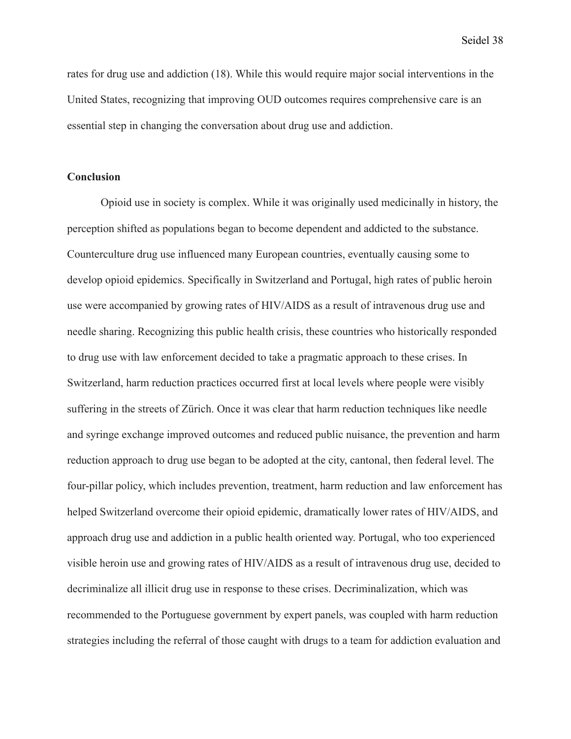rates for drug use and addiction (18). While this would require major social interventions in the United States, recognizing that improving OUD outcomes requires comprehensive care is an essential step in changing the conversation about drug use and addiction.

# **Conclusion**

Opioid use in society is complex. While it was originally used medicinally in history, the perception shifted as populations began to become dependent and addicted to the substance. Counterculture drug use influenced many European countries, eventually causing some to develop opioid epidemics. Specifically in Switzerland and Portugal, high rates of public heroin use were accompanied by growing rates of HIV/AIDS as a result of intravenous drug use and needle sharing. Recognizing this public health crisis, these countries who historically responded to drug use with law enforcement decided to take a pragmatic approach to these crises. In Switzerland, harm reduction practices occurred first at local levels where people were visibly suffering in the streets of Zürich. Once it was clear that harm reduction techniques like needle and syringe exchange improved outcomes and reduced public nuisance, the prevention and harm reduction approach to drug use began to be adopted at the city, cantonal, then federal level. The four-pillar policy, which includes prevention, treatment, harm reduction and law enforcement has helped Switzerland overcome their opioid epidemic, dramatically lower rates of HIV/AIDS, and approach drug use and addiction in a public health oriented way. Portugal, who too experienced visible heroin use and growing rates of HIV/AIDS as a result of intravenous drug use, decided to decriminalize all illicit drug use in response to these crises. Decriminalization, which was recommended to the Portuguese government by expert panels, was coupled with harm reduction strategies including the referral of those caught with drugs to a team for addiction evaluation and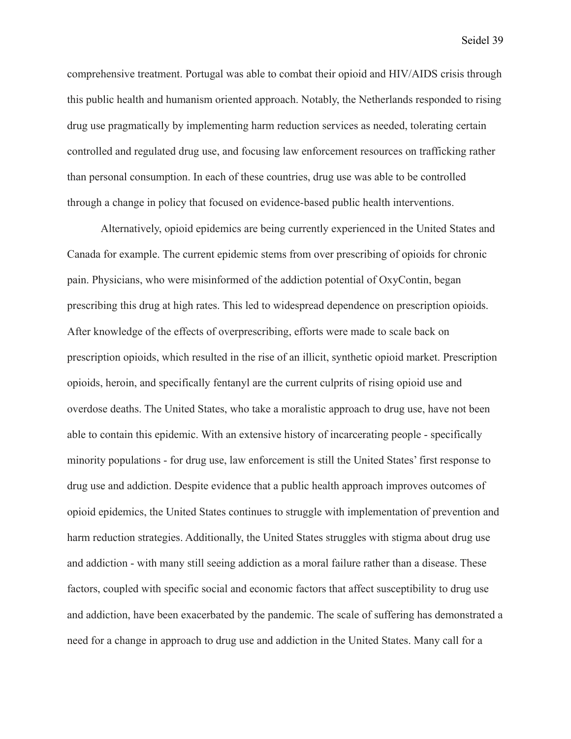comprehensive treatment. Portugal was able to combat their opioid and HIV/AIDS crisis through this public health and humanism oriented approach. Notably, the Netherlands responded to rising drug use pragmatically by implementing harm reduction services as needed, tolerating certain controlled and regulated drug use, and focusing law enforcement resources on trafficking rather than personal consumption. In each of these countries, drug use was able to be controlled through a change in policy that focused on evidence-based public health interventions.

Alternatively, opioid epidemics are being currently experienced in the United States and Canada for example. The current epidemic stems from over prescribing of opioids for chronic pain. Physicians, who were misinformed of the addiction potential of OxyContin, began prescribing this drug at high rates. This led to widespread dependence on prescription opioids. After knowledge of the effects of overprescribing, efforts were made to scale back on prescription opioids, which resulted in the rise of an illicit, synthetic opioid market. Prescription opioids, heroin, and specifically fentanyl are the current culprits of rising opioid use and overdose deaths. The United States, who take a moralistic approach to drug use, have not been able to contain this epidemic. With an extensive history of incarcerating people - specifically minority populations - for drug use, law enforcement is still the United States' first response to drug use and addiction. Despite evidence that a public health approach improves outcomes of opioid epidemics, the United States continues to struggle with implementation of prevention and harm reduction strategies. Additionally, the United States struggles with stigma about drug use and addiction - with many still seeing addiction as a moral failure rather than a disease. These factors, coupled with specific social and economic factors that affect susceptibility to drug use and addiction, have been exacerbated by the pandemic. The scale of suffering has demonstrated a need for a change in approach to drug use and addiction in the United States. Many call for a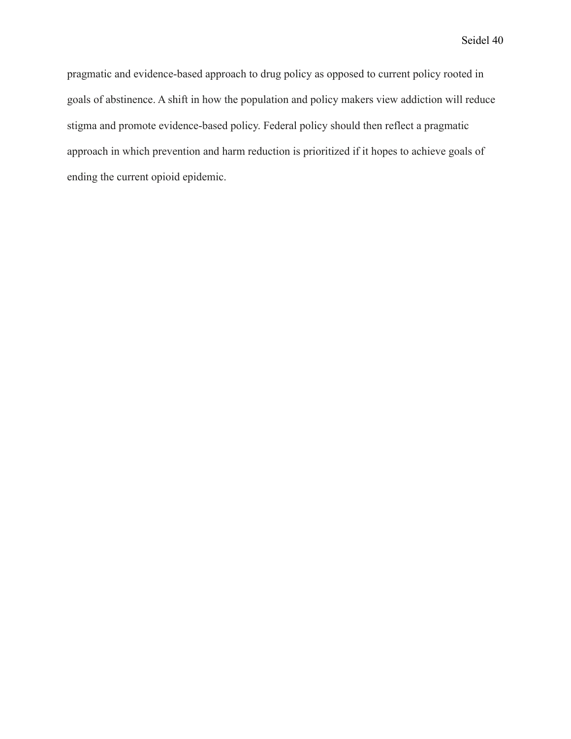pragmatic and evidence-based approach to drug policy as opposed to current policy rooted in goals of abstinence. A shift in how the population and policy makers view addiction will reduce stigma and promote evidence-based policy. Federal policy should then reflect a pragmatic approach in which prevention and harm reduction is prioritized if it hopes to achieve goals of ending the current opioid epidemic.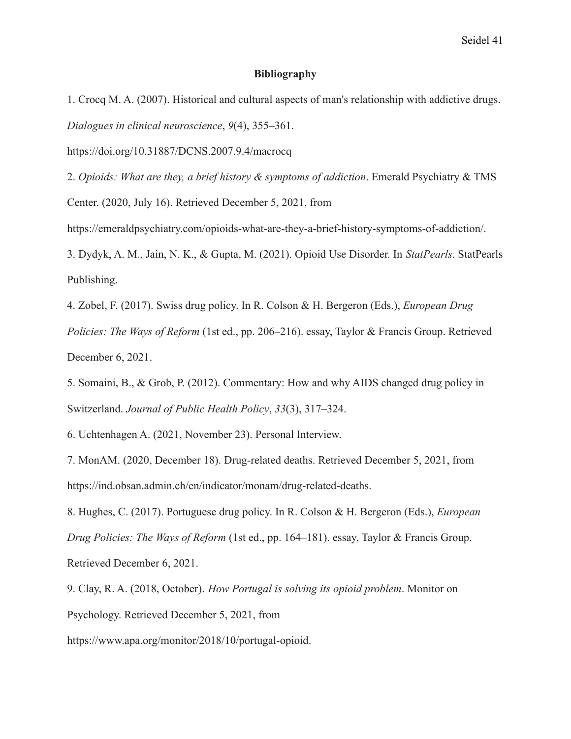#### **Bibliography**

1. Crocq M. A. (2007). Historical and cultural aspects of man's relationship with addictive drugs. *Dialogues in clinical neuroscience*, *9*(4), 355–361.

https://doi.org/10.31887/DCNS.2007.9.4/macrocq

2. *Opioids: What are they, a brief history & symptoms of addiction*. Emerald Psychiatry & TMS Center. (2020, July 16). Retrieved December 5, 2021, from

https://emeraldpsychiatry.com/opioids-what-are-they-a-brief-history-symptoms-of-addiction/.

3. Dydyk, A. M., Jain, N. K., & Gupta, M. (2021). Opioid Use Disorder. In *StatPearls*. StatPearls Publishing.

4. Zobel, F. (2017). Swiss drug policy. In R. Colson & H. Bergeron (Eds.), *European Drug Policies: The Ways of Reform* (1st ed., pp. 206–216). essay, Taylor & Francis Group. Retrieved December 6, 2021.

5. Somaini, B., & Grob, P. (2012). Commentary: How and why AIDS changed drug policy in Switzerland. *Journal of Public Health Policy*, *33*(3), 317–324.

6. Uchtenhagen A. (2021, November 23). Personal Interview.

7. MonAM. (2020, December 18). Drug-related deaths. Retrieved December 5, 2021, from https://ind.obsan.admin.ch/en/indicator/monam/drug-related-deaths.

8. Hughes, C. (2017). Portuguese drug policy. In R. Colson & H. Bergeron (Eds.), *European Drug Policies: The Ways of Reform* (1st ed., pp. 164–181). essay, Taylor & Francis Group. Retrieved December 6, 2021.

9. Clay, R. A. (2018, October). *How Portugal is solving its opioid problem*. Monitor on Psychology. Retrieved December 5, 2021, from

https://www.apa.org/monitor/2018/10/portugal-opioid.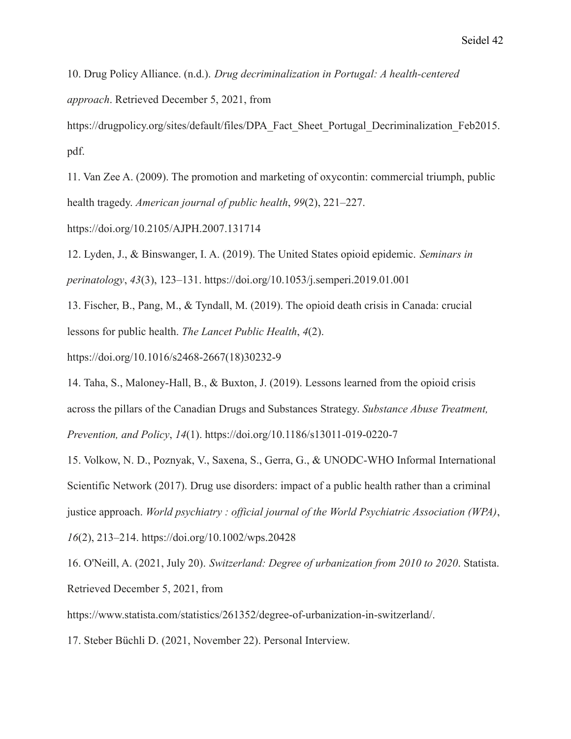10. Drug Policy Alliance. (n.d.). *Drug decriminalization in Portugal: A health-centered approach*. Retrieved December 5, 2021, from

https://drugpolicy.org/sites/default/files/DPA\_Fact\_Sheet\_Portugal\_Decriminalization\_Feb2015. pdf.

11. Van Zee A. (2009). The promotion and marketing of oxycontin: commercial triumph, public health tragedy. *American journal of public health*, *99*(2), 221–227.

https://doi.org/10.2105/AJPH.2007.131714

12. Lyden, J., & Binswanger, I. A. (2019). The United States opioid epidemic. *Seminars in perinatology*, *43*(3), 123–131. https://doi.org/10.1053/j.semperi.2019.01.001

13. Fischer, B., Pang, M., & Tyndall, M. (2019). The opioid death crisis in Canada: crucial lessons for public health. *The Lancet Public Health*, *4*(2).

https://doi.org/10.1016/s2468-2667(18)30232-9

14. Taha, S., Maloney-Hall, B., & Buxton, J. (2019). Lessons learned from the opioid crisis across the pillars of the Canadian Drugs and Substances Strategy. *Substance Abuse Treatment, Prevention, and Policy*, *14*(1). https://doi.org/10.1186/s13011-019-0220-7

15. Volkow, N. D., Poznyak, V., Saxena, S., Gerra, G., & UNODC-WHO Informal International Scientific Network (2017). Drug use disorders: impact of a public health rather than a criminal justice approach. *World psychiatry : official journal of the World Psychiatric Association (WPA)*,

*16*(2), 213–214. https://doi.org/10.1002/wps.20428

16. O'Neill, A. (2021, July 20). *Switzerland: Degree of urbanization from 2010 to 2020*. Statista. Retrieved December 5, 2021, from

https://www.statista.com/statistics/261352/degree-of-urbanization-in-switzerland/.

17. Steber Büchli D. (2021, November 22). Personal Interview.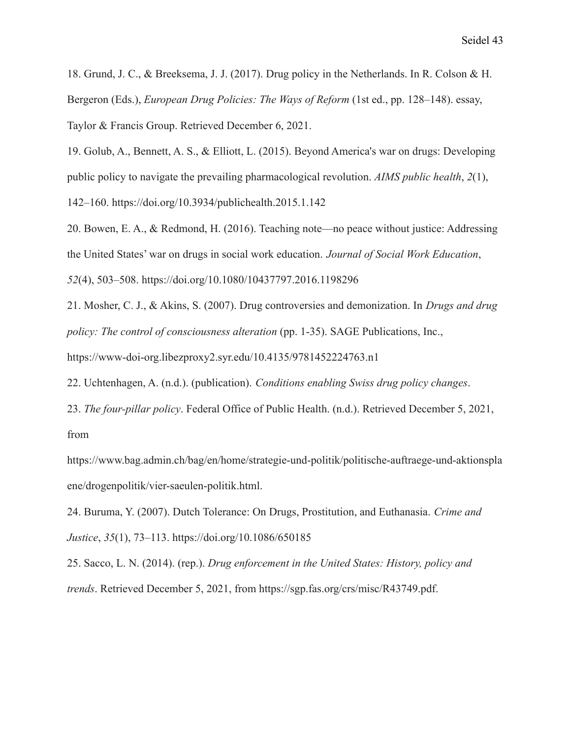18. Grund, J. C., & Breeksema, J. J. (2017). Drug policy in the Netherlands. In R. Colson & H. Bergeron (Eds.), *European Drug Policies: The Ways of Reform* (1st ed., pp. 128–148). essay, Taylor & Francis Group. Retrieved December 6, 2021.

19. Golub, A., Bennett, A. S., & Elliott, L. (2015). Beyond America's war on drugs: Developing public policy to navigate the prevailing pharmacological revolution. *AIMS public health*, *2*(1), 142–160. https://doi.org/10.3934/publichealth.2015.1.142

20. Bowen, E. A., & Redmond, H. (2016). Teaching note—no peace without justice: Addressing the United States' war on drugs in social work education. *Journal of Social Work Education*, *52*(4), 503–508. https://doi.org/10.1080/10437797.2016.1198296

21. Mosher, C. J., & Akins, S. (2007). Drug controversies and demonization. In *Drugs and drug policy: The control of consciousness alteration* (pp. 1-35). SAGE Publications, Inc.,

https://www-doi-org.libezproxy2.syr.edu/10.4135/9781452224763.n1

22. Uchtenhagen, A. (n.d.). (publication). *Conditions enabling Swiss drug policy changes*.

23. *The four-pillar policy*. Federal Office of Public Health. (n.d.). Retrieved December 5, 2021, from

https://www.bag.admin.ch/bag/en/home/strategie-und-politik/politische-auftraege-und-aktionspla ene/drogenpolitik/vier-saeulen-politik.html.

24. Buruma, Y. (2007). Dutch Tolerance: On Drugs, Prostitution, and Euthanasia. *Crime and Justice*, *35*(1), 73–113. https://doi.org/10.1086/650185

25. Sacco, L. N. (2014). (rep.). *Drug enforcement in the United States: History, policy and trends*. Retrieved December 5, 2021, from https://sgp.fas.org/crs/misc/R43749.pdf.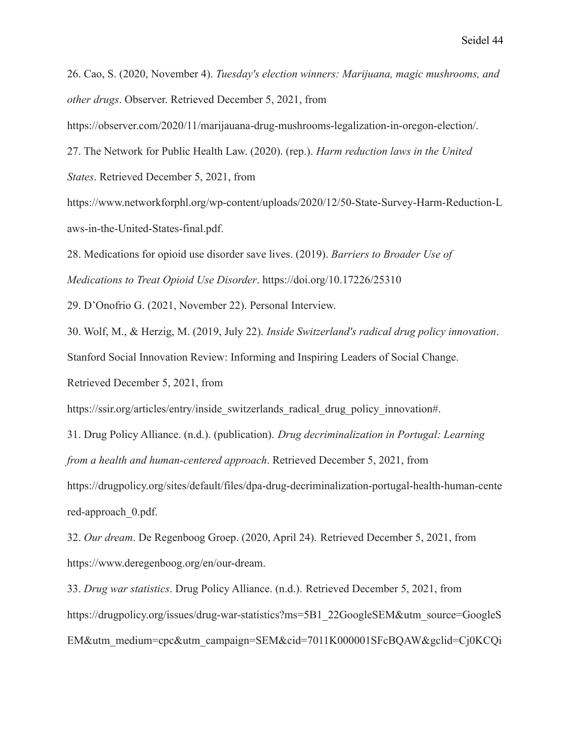26. Cao, S. (2020, November 4). *Tuesday's election winners: Marijuana, magic mushrooms, and other drugs*. Observer. Retrieved December 5, 2021, from

https://observer.com/2020/11/marijauana-drug-mushrooms-legalization-in-oregon-election/.

27. The Network for Public Health Law. (2020). (rep.). *Harm reduction laws in the United*

*States*. Retrieved December 5, 2021, from

https://www.networkforphl.org/wp-content/uploads/2020/12/50-State-Survey-Harm-Reduction-L aws-in-the-United-States-final.pdf.

28. Medications for opioid use disorder save lives. (2019). *Barriers to Broader Use of Medications to Treat Opioid Use Disorder*. https://doi.org/10.17226/25310

29. D'Onofrio G. (2021, November 22). Personal Interview.

30. Wolf, M., & Herzig, M. (2019, July 22). *Inside Switzerland's radical drug policy innovation*.

Stanford Social Innovation Review: Informing and Inspiring Leaders of Social Change.

Retrieved December 5, 2021, from

https://ssir.org/articles/entry/inside\_switzerlands\_radical\_drug\_policy\_innovation#.

31. Drug Policy Alliance. (n.d.). (publication). *Drug decriminalization in Portugal: Learning from a health and human-centered approach*. Retrieved December 5, 2021, from

https://drugpolicy.org/sites/default/files/dpa-drug-decriminalization-portugal-health-human-cente red-approach\_0.pdf.

32. *Our dream*. De Regenboog Groep. (2020, April 24). Retrieved December 5, 2021, from https://www.deregenboog.org/en/our-dream.

33. *Drug war statistics*. Drug Policy Alliance. (n.d.). Retrieved December 5, 2021, from https://drugpolicy.org/issues/drug-war-statistics?ms=5B1\_22GoogleSEM&utm\_source=GoogleS EM&utm\_medium=cpc&utm\_campaign=SEM&cid=7011K000001SFcBQAW&gclid=Cj0KCQi